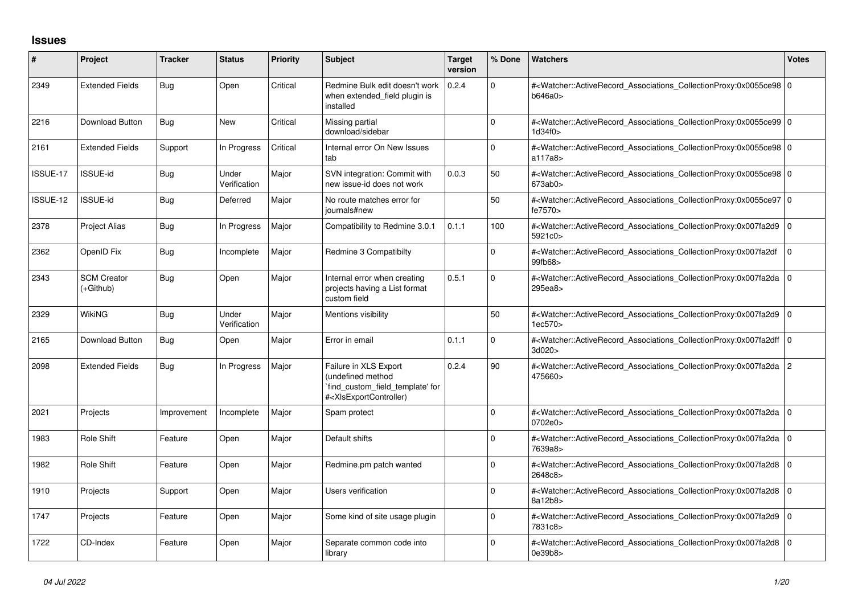## **Issues**

| ∦        | Project                         | <b>Tracker</b> | <b>Status</b>         | <b>Priority</b> | <b>Subject</b>                                                                                                                                                                                                                                                                                                                         | Target<br>version | % Done   | Watchers                                                                                                                                                  | <b>Votes</b>   |
|----------|---------------------------------|----------------|-----------------------|-----------------|----------------------------------------------------------------------------------------------------------------------------------------------------------------------------------------------------------------------------------------------------------------------------------------------------------------------------------------|-------------------|----------|-----------------------------------------------------------------------------------------------------------------------------------------------------------|----------------|
| 2349     | <b>Extended Fields</b>          | Bug            | Open                  | Critical        | Redmine Bulk edit doesn't work<br>when extended field plugin is<br>installed                                                                                                                                                                                                                                                           | 0.2.4             | 0        | # <watcher::activerecord 0<br="" associations="" collectionproxy:0x0055ce98=""  ="">b646a0&gt;</watcher::activerecord>                                    |                |
| 2216     | <b>Download Button</b>          | Bug            | <b>New</b>            | Critical        | Missing partial<br>download/sidebar                                                                                                                                                                                                                                                                                                    |                   | $\Omega$ | # <watcher::activerecord_associations_collectionproxy:0x0055ce99 0<br="">1d34f0&gt;</watcher::activerecord_associations_collectionproxy:0x0055ce99>       |                |
| 2161     | <b>Extended Fields</b>          | Support        | In Progress           | Critical        | Internal error On New Issues<br>tab                                                                                                                                                                                                                                                                                                    |                   | $\Omega$ | # <watcher::activerecord_associations_collectionproxy:0x0055ce98 0<br="">a117a8&gt;</watcher::activerecord_associations_collectionproxy:0x0055ce98>       |                |
| ISSUE-17 | ISSUE-id                        | Bug            | Under<br>Verification | Major           | SVN integration: Commit with<br>new issue-id does not work                                                                                                                                                                                                                                                                             | 0.0.3             | 50       | # <watcher::activerecord_associations_collectionproxy:0x0055ce98 0<br="">673ab0z</watcher::activerecord_associations_collectionproxy:0x0055ce98>          |                |
| ISSUE-12 | ISSUE-id                        | Bug            | Deferred              | Major           | No route matches error for<br>journals#new                                                                                                                                                                                                                                                                                             |                   | 50       | # <watcher::activerecord_associations_collectionproxy:0x0055ce97 0<br="">fe7570&gt;</watcher::activerecord_associations_collectionproxy:0x0055ce97>       |                |
| 2378     | <b>Project Alias</b>            | Bug            | In Progress           | Major           | Compatibility to Redmine 3.0.1                                                                                                                                                                                                                                                                                                         | 0.1.1             | 100      | # <watcher::activerecord_associations_collectionproxy:0x007fa2d9 0<br="">5921c0&gt;</watcher::activerecord_associations_collectionproxy:0x007fa2d9>       |                |
| 2362     | OpenID Fix                      | Bug            | Incomplete            | Major           | Redmine 3 Compatibilty                                                                                                                                                                                                                                                                                                                 |                   | $\Omega$ | # <watcher::activerecord_associations_collectionproxy:0x007fa2df<br>99fb68&gt;</watcher::activerecord_associations_collectionproxy:0x007fa2df<br>         | ۱o             |
| 2343     | <b>SCM Creator</b><br>(+Github) | Bug            | Open                  | Major           | Internal error when creating<br>projects having a List format<br>custom field                                                                                                                                                                                                                                                          | 0.5.1             | $\Omega$ | # <watcher::activerecord_associations_collectionproxy:0x007fa2da<br>295ea8&gt;</watcher::activerecord_associations_collectionproxy:0x007fa2da<br>         | l 0            |
| 2329     | <b>WikiNG</b>                   | Bug            | Under<br>Verification | Major           | Mentions visibility                                                                                                                                                                                                                                                                                                                    |                   | 50       | # <watcher::activerecord 0<br="" associations="" collectionproxy:0x007fa2d9=""  ="">1ec570&gt;</watcher::activerecord>                                    |                |
| 2165     | Download Button                 | Bug            | Open                  | Major           | Error in email                                                                                                                                                                                                                                                                                                                         | 0.1.1             | $\Omega$ | # <watcher::activerecord_associations_collectionproxy:0x007fa2dff 0<br=""  ="">3d020&gt;</watcher::activerecord_associations_collectionproxy:0x007fa2dff> |                |
| 2098     | <b>Extended Fields</b>          | Bug            | In Progress           | Major           | Failure in XLS Export<br>(undefined method<br>`find_custom_field_template' for<br># <xisexportcontroller)< td=""><td>0.2.4</td><td>90</td><td>#<watcher::activerecord_associations_collectionproxy:0x007fa2da 2<br="">475660&gt;</watcher::activerecord_associations_collectionproxy:0x007fa2da></td><td></td></xisexportcontroller)<> | 0.2.4             | 90       | # <watcher::activerecord_associations_collectionproxy:0x007fa2da 2<br="">475660&gt;</watcher::activerecord_associations_collectionproxy:0x007fa2da>       |                |
| 2021     | Projects                        | Improvement    | Incomplete            | Major           | Spam protect                                                                                                                                                                                                                                                                                                                           |                   | $\Omega$ | # <watcher::activerecord_associations_collectionproxy:0x007fa2da 0<br="">0702e0&gt;</watcher::activerecord_associations_collectionproxy:0x007fa2da>       |                |
| 1983     | Role Shift                      | Feature        | Open                  | Major           | Default shifts                                                                                                                                                                                                                                                                                                                         |                   | $\Omega$ | # <watcher::activerecord_associations_collectionproxy:0x007fa2da 0<br="">7639a8&gt;</watcher::activerecord_associations_collectionproxy:0x007fa2da>       |                |
| 1982     | Role Shift                      | Feature        | Open                  | Major           | Redmine.pm patch wanted                                                                                                                                                                                                                                                                                                                |                   | $\Omega$ | # <watcher::activerecord_associations_collectionproxy:0x007fa2d8 0<br="">2648c8&gt;</watcher::activerecord_associations_collectionproxy:0x007fa2d8>       |                |
| 1910     | Projects                        | Support        | Open                  | Major           | Users verification                                                                                                                                                                                                                                                                                                                     |                   | $\Omega$ | # <watcher::activerecord_associations_collectionproxy:0x007fa2d8<br>8a12b8&gt;</watcher::activerecord_associations_collectionproxy:0x007fa2d8<br>         | $\overline{0}$ |
| 1747     | Projects                        | Feature        | Open                  | Major           | Some kind of site usage plugin                                                                                                                                                                                                                                                                                                         |                   | $\Omega$ | # <watcher::activerecord_associations_collectionproxy:0x007fa2d9 0<br="">7831c8&gt;</watcher::activerecord_associations_collectionproxy:0x007fa2d9>       |                |
| 1722     | CD-Index                        | Feature        | Open                  | Major           | Separate common code into<br>library                                                                                                                                                                                                                                                                                                   |                   | 0        | # <watcher::activerecord_associations_collectionproxy:0x007fa2d8 0<br="">0e39b8&gt;</watcher::activerecord_associations_collectionproxy:0x007fa2d8>       |                |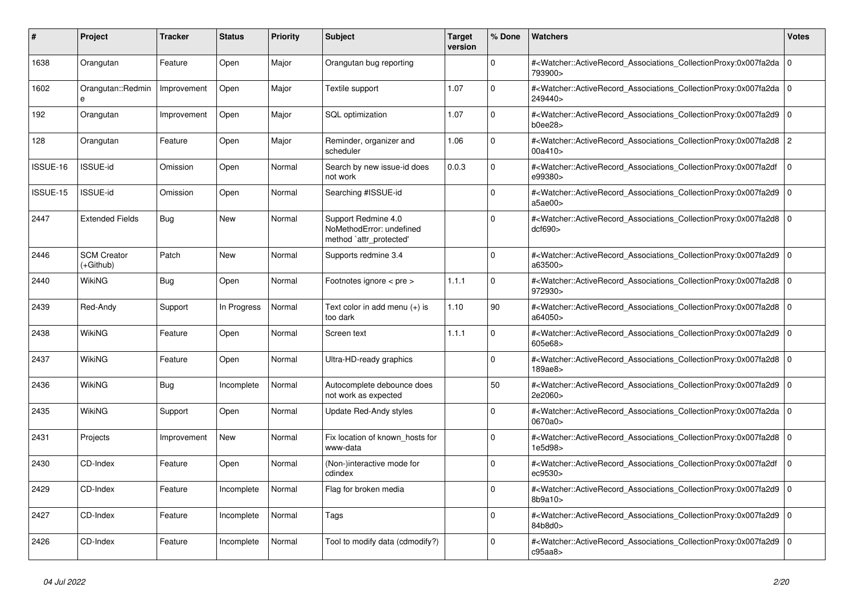| #        | Project                         | <b>Tracker</b> | <b>Status</b> | <b>Priority</b> | <b>Subject</b>                                                             | <b>Target</b><br>version | % Done   | <b>Watchers</b>                                                                                                                                          | Votes          |
|----------|---------------------------------|----------------|---------------|-----------------|----------------------------------------------------------------------------|--------------------------|----------|----------------------------------------------------------------------------------------------------------------------------------------------------------|----------------|
| 1638     | Orangutan                       | Feature        | Open          | Major           | Orangutan bug reporting                                                    |                          | $\Omega$ | # <watcher::activerecord_associations_collectionproxy:0x007fa2da<br>793900&gt;</watcher::activerecord_associations_collectionproxy:0x007fa2da<br>        | l o            |
| 1602     | Orangutan::Redmin<br>e          | Improvement    | Open          | Major           | Textile support                                                            | 1.07                     | $\Omega$ | # <watcher::activerecord_associations_collectionproxy:0x007fa2da 0<br=""  ="">249440&gt;</watcher::activerecord_associations_collectionproxy:0x007fa2da> |                |
| 192      | Orangutan                       | Improvement    | Open          | Major           | SQL optimization                                                           | 1.07                     | $\Omega$ | # <watcher::activerecord_associations_collectionproxy:0x007fa2d9 0<br=""  ="">b0ee28</watcher::activerecord_associations_collectionproxy:0x007fa2d9>     |                |
| 128      | Orangutan                       | Feature        | Open          | Major           | Reminder, organizer and<br>scheduler                                       | 1.06                     | $\Omega$ | # <watcher::activerecord_associations_collectionproxy:0x007fa2d8<br>00a410</watcher::activerecord_associations_collectionproxy:0x007fa2d8<br>            | $\overline{2}$ |
| ISSUE-16 | ISSUE-id                        | Omission       | Open          | Normal          | Search by new issue-id does<br>not work                                    | 0.0.3                    | $\Omega$ | # <watcher::activerecord associations="" collectionproxy:0x007fa2df<br="">e99380&gt;</watcher::activerecord>                                             | $\Omega$       |
| ISSUE-15 | <b>ISSUE-id</b>                 | Omission       | Open          | Normal          | Searching #ISSUE-id                                                        |                          | $\Omega$ | # <watcher::activerecord_associations_collectionproxy:0x007fa2d9<br>a5ae00&gt;</watcher::activerecord_associations_collectionproxy:0x007fa2d9<br>        | l o            |
| 2447     | <b>Extended Fields</b>          | <b>Bug</b>     | <b>New</b>    | Normal          | Support Redmine 4.0<br>NoMethodError: undefined<br>method `attr_protected' |                          | $\Omega$ | # <watcher::activerecord_associations_collectionproxy:0x007fa2d8<br>dcf690</watcher::activerecord_associations_collectionproxy:0x007fa2d8<br>            | l O            |
| 2446     | <b>SCM Creator</b><br>(+Github) | Patch          | <b>New</b>    | Normal          | Supports redmine 3.4                                                       |                          | $\Omega$ | # <watcher::activerecord_associations_collectionproxy:0x007fa2d9 0<br=""  ="">a63500&gt;</watcher::activerecord_associations_collectionproxy:0x007fa2d9> |                |
| 2440     | WikiNG                          | <b>Bug</b>     | Open          | Normal          | Footnotes ignore < pre >                                                   | 1.1.1                    | $\Omega$ | # <watcher::activerecord_associations_collectionproxy:0x007fa2d8<br>972930&gt;</watcher::activerecord_associations_collectionproxy:0x007fa2d8<br>        | l O            |
| 2439     | Red-Andy                        | Support        | In Progress   | Normal          | Text color in add menu $(+)$ is<br>too dark                                | 1.10                     | 90       | # <watcher::activerecord_associations_collectionproxy:0x007fa2d8<br>a64050&gt;</watcher::activerecord_associations_collectionproxy:0x007fa2d8<br>        | l 0            |
| 2438     | <b>WikiNG</b>                   | Feature        | Open          | Normal          | Screen text                                                                | 1.1.1                    | $\Omega$ | # <watcher::activerecord_associations_collectionproxy:0x007fa2d9 0<br=""  ="">605e68&gt;</watcher::activerecord_associations_collectionproxy:0x007fa2d9> |                |
| 2437     | WikiNG                          | Feature        | Open          | Normal          | Ultra-HD-ready graphics                                                    |                          | $\Omega$ | # <watcher::activerecord associations="" collectionproxy:0x007fa2d8<br="">189ae8&gt;</watcher::activerecord>                                             | l O            |
| 2436     | WikiNG                          | Bug            | Incomplete    | Normal          | Autocomplete debounce does<br>not work as expected                         |                          | 50       | # <watcher::activerecord_associations_collectionproxy:0x007fa2d9<br>2e2060&gt;</watcher::activerecord_associations_collectionproxy:0x007fa2d9<br>        | l o            |
| 2435     | WikiNG                          | Support        | Open          | Normal          | Update Red-Andy styles                                                     |                          | $\Omega$ | # <watcher::activerecord 0<br="" associations="" collectionproxy:0x007fa2da=""  ="">0670a0&gt;</watcher::activerecord>                                   |                |
| 2431     | Projects                        | Improvement    | <b>New</b>    | Normal          | Fix location of known hosts for<br>www-data                                |                          | $\Omega$ | # <watcher::activerecord associations="" collectionproxy:0x007fa2d8<br="">1e5d98&gt;</watcher::activerecord>                                             | l O            |
| 2430     | CD-Index                        | Feature        | Open          | Normal          | (Non-)interactive mode for<br>cdindex                                      |                          | $\Omega$ | # <watcher::activerecord associations="" collectionproxy:0x007fa2df<br="">ec9530&gt;</watcher::activerecord>                                             | $\mathbf 0$    |
| 2429     | CD-Index                        | Feature        | Incomplete    | Normal          | Flag for broken media                                                      |                          | $\Omega$ | # <watcher::activerecord_associations_collectionproxy:0x007fa2d9 0<br=""  ="">8b9a10</watcher::activerecord_associations_collectionproxy:0x007fa2d9>     |                |
| 2427     | CD-Index                        | Feature        | Incomplete    | Normal          | Tags                                                                       |                          | $\Omega$ | # <watcher::activerecord_associations_collectionproxy:0x007fa2d9<br>84b8d0&gt;</watcher::activerecord_associations_collectionproxy:0x007fa2d9<br>        | l o            |
| 2426     | CD-Index                        | Feature        | Incomplete    | Normal          | Tool to modify data (cdmodify?)                                            |                          | $\Omega$ | # <watcher::activerecord associations="" collectionproxy:0x007fa2d9<br="">c95aa8</watcher::activerecord>                                                 | l o            |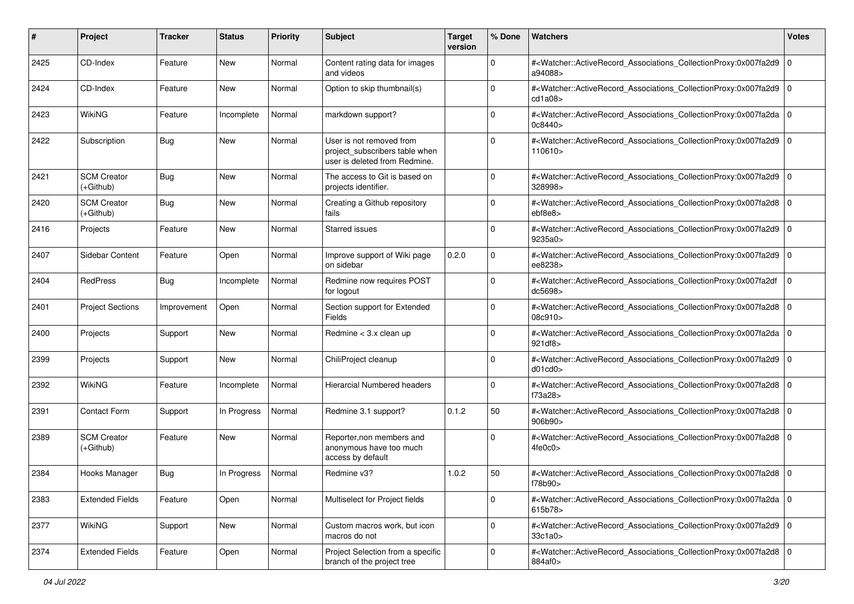| #    | Project                           | <b>Tracker</b> | <b>Status</b> | <b>Priority</b> | <b>Subject</b>                                                                              | <b>Target</b><br>version | % Done      | Watchers                                                                                                                                                  | <b>Votes</b> |
|------|-----------------------------------|----------------|---------------|-----------------|---------------------------------------------------------------------------------------------|--------------------------|-------------|-----------------------------------------------------------------------------------------------------------------------------------------------------------|--------------|
| 2425 | CD-Index                          | Feature        | New           | Normal          | Content rating data for images<br>and videos                                                |                          | $\mathbf 0$ | # <watcher::activerecord_associations_collectionproxy:0x007fa2d9<br>a94088&gt;</watcher::activerecord_associations_collectionproxy:0x007fa2d9<br>         | l O          |
| 2424 | CD-Index                          | Feature        | New           | Normal          | Option to skip thumbnail(s)                                                                 |                          | $\Omega$    | # <watcher::activerecord_associations_collectionproxy:0x007fa2d9 0<br=""  ="">cd1a08</watcher::activerecord_associations_collectionproxy:0x007fa2d9>      |              |
| 2423 | <b>WikiNG</b>                     | Feature        | Incomplete    | Normal          | markdown support?                                                                           |                          | 0           | # <watcher::activerecord_associations_collectionproxy:0x007fa2da 0<br=""  ="">0c8440&gt;</watcher::activerecord_associations_collectionproxy:0x007fa2da>  |              |
| 2422 | Subscription                      | <b>Bug</b>     | <b>New</b>    | Normal          | User is not removed from<br>project_subscribers table when<br>user is deleted from Redmine. |                          | $\Omega$    | # <watcher::activerecord_associations_collectionproxy:0x007fa2d9 0<br="">110610&gt;</watcher::activerecord_associations_collectionproxy:0x007fa2d9>       |              |
| 2421 | <b>SCM Creator</b><br>(+Github)   | Bug            | <b>New</b>    | Normal          | The access to Git is based on<br>projects identifier.                                       |                          | $\mathbf 0$ | # <watcher::activerecord_associations_collectionproxy:0x007fa2d9 0<br=""  ="">328998&gt;</watcher::activerecord_associations_collectionproxy:0x007fa2d9>  |              |
| 2420 | <b>SCM Creator</b><br>$(+Github)$ | <b>Bug</b>     | <b>New</b>    | Normal          | Creating a Github repository<br>fails                                                       |                          | $\Omega$    | # <watcher::activerecord_associations_collectionproxy:0x007fa2d8 0<br=""  ="">ebf8e8&gt;</watcher::activerecord_associations_collectionproxy:0x007fa2d8>  |              |
| 2416 | Projects                          | Feature        | New           | Normal          | <b>Starred issues</b>                                                                       |                          | $\Omega$    | # <watcher::activerecord_associations_collectionproxy:0x007fa2d9 0<br="">9235a0&gt;</watcher::activerecord_associations_collectionproxy:0x007fa2d9>       |              |
| 2407 | Sidebar Content                   | Feature        | Open          | Normal          | Improve support of Wiki page<br>on sidebar                                                  | 0.2.0                    | $\Omega$    | # <watcher::activerecord_associations_collectionproxy:0x007fa2d9 0<br=""  ="">ee8238&gt;</watcher::activerecord_associations_collectionproxy:0x007fa2d9>  |              |
| 2404 | <b>RedPress</b>                   | <b>Bug</b>     | Incomplete    | Normal          | Redmine now requires POST<br>for logout                                                     |                          | $\Omega$    | # <watcher::activerecord_associations_collectionproxy:0x007fa2df<br>dc5698&gt;</watcher::activerecord_associations_collectionproxy:0x007fa2df<br>         | $\Omega$     |
| 2401 | <b>Project Sections</b>           | Improvement    | Open          | Normal          | Section support for Extended<br>Fields                                                      |                          | $\Omega$    | # <watcher::activerecord_associations_collectionproxy:0x007fa2d8 0<br=""  ="">08c910&gt;</watcher::activerecord_associations_collectionproxy:0x007fa2d8>  |              |
| 2400 | Projects                          | Support        | New           | Normal          | Redmine < 3.x clean up                                                                      |                          | $\Omega$    | # <watcher::activerecord_associations_collectionproxy:0x007fa2da 0<br=""  ="">921 df8&gt;</watcher::activerecord_associations_collectionproxy:0x007fa2da> |              |
| 2399 | Projects                          | Support        | New           | Normal          | ChiliProject cleanup                                                                        |                          | $\Omega$    | # <watcher::activerecord_associations_collectionproxy:0x007fa2d9<br>d01cd0</watcher::activerecord_associations_collectionproxy:0x007fa2d9<br>             | 10           |
| 2392 | WikiNG                            | Feature        | Incomplete    | Normal          | Hierarcial Numbered headers                                                                 |                          | $\Omega$    | # <watcher::activerecord_associations_collectionproxy:0x007fa2d8 0<br=""  ="">f73a28&gt;</watcher::activerecord_associations_collectionproxy:0x007fa2d8>  |              |
| 2391 | <b>Contact Form</b>               | Support        | In Progress   | Normal          | Redmine 3.1 support?                                                                        | 0.1.2                    | 50          | # <watcher::activerecord_associations_collectionproxy:0x007fa2d8 0<br=""  ="">906b90&gt;</watcher::activerecord_associations_collectionproxy:0x007fa2d8>  |              |
| 2389 | <b>SCM Creator</b><br>$(+Github)$ | Feature        | <b>New</b>    | Normal          | Reporter, non members and<br>anonymous have too much<br>access by default                   |                          | $\Omega$    | # <watcher::activerecord_associations_collectionproxy:0x007fa2d8 0<br=""  ="">4fe0c0&gt;</watcher::activerecord_associations_collectionproxy:0x007fa2d8>  |              |
| 2384 | Hooks Manager                     | <b>Bug</b>     | In Progress   | Normal          | Redmine v3?                                                                                 | 1.0.2                    | 50          | # <watcher::activerecord_associations_collectionproxy:0x007fa2d8 0<br="">f78b90&gt;</watcher::activerecord_associations_collectionproxy:0x007fa2d8>       |              |
| 2383 | <b>Extended Fields</b>            | Feature        | Open          | Normal          | Multiselect for Project fields                                                              |                          | $\mathbf 0$ | # <watcher::activerecord 0<br="" associations="" collectionproxy:0x007fa2da="">615b78&gt;</watcher::activerecord>                                         |              |
| 2377 | WikiNG                            | Support        | New           | Normal          | Custom macros work, but icon<br>macros do not                                               |                          | $\mathbf 0$ | # <watcher::activerecord_associations_collectionproxy:0x007fa2d9 0<br="">33c1a0&gt;</watcher::activerecord_associations_collectionproxy:0x007fa2d9>       |              |
| 2374 | <b>Extended Fields</b>            | Feature        | Open          | Normal          | Project Selection from a specific<br>branch of the project tree                             |                          | $\Omega$    | # <watcher::activerecord_associations_collectionproxy:0x007fa2d8 0<br=""  ="">884af0&gt;</watcher::activerecord_associations_collectionproxy:0x007fa2d8>  |              |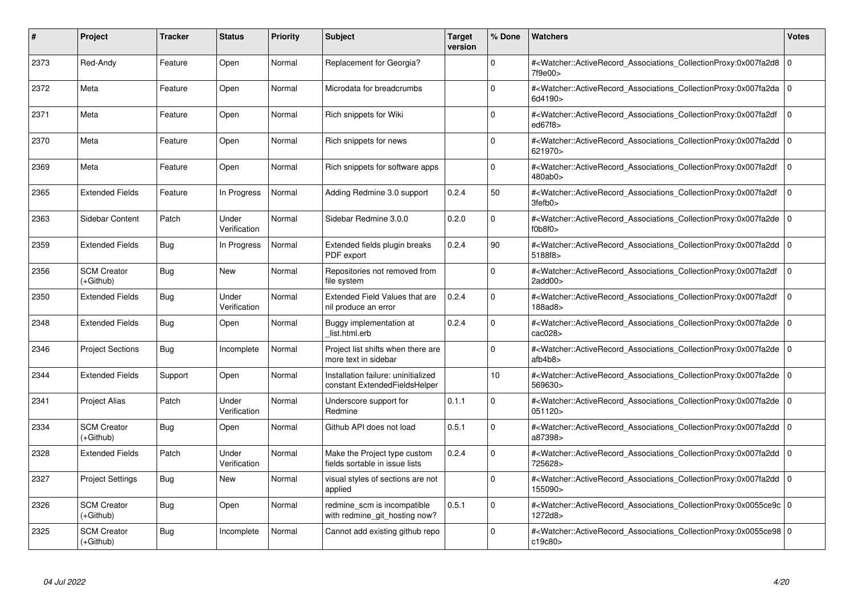| #    | Project                         | <b>Tracker</b> | <b>Status</b>         | <b>Priority</b> | <b>Subject</b>                                                       | <b>Target</b><br>version | % Done      | <b>Watchers</b>                                                                                                                                                             | <b>Votes</b>   |
|------|---------------------------------|----------------|-----------------------|-----------------|----------------------------------------------------------------------|--------------------------|-------------|-----------------------------------------------------------------------------------------------------------------------------------------------------------------------------|----------------|
| 2373 | Red-Andy                        | Feature        | Open                  | Normal          | Replacement for Georgia?                                             |                          | $\Omega$    | # <watcher::activerecord_associations_collectionproxy:0x007fa2d8<br>7f9e00&gt;</watcher::activerecord_associations_collectionproxy:0x007fa2d8<br>                           | l O            |
| 2372 | Meta                            | Feature        | Open                  | Normal          | Microdata for breadcrumbs                                            |                          | $\Omega$    | # <watcher::activerecord 0<br="" associations="" collectionproxy:0x007fa2da=""  ="">6d4190&gt;</watcher::activerecord>                                                      |                |
| 2371 | Meta                            | Feature        | Open                  | Normal          | Rich snippets for Wiki                                               |                          | $\Omega$    | # <watcher::activerecord_associations_collectionproxy:0x007fa2df<br>ed67f8&gt;</watcher::activerecord_associations_collectionproxy:0x007fa2df<br>                           | $\mathbf 0$    |
| 2370 | Meta                            | Feature        | Open                  | Normal          | Rich snippets for news                                               |                          | $\Omega$    | # <watcher::activerecord_associations_collectionproxy:0x007fa2dd 0<br="">621970&gt;</watcher::activerecord_associations_collectionproxy:0x007fa2dd>                         |                |
| 2369 | Meta                            | Feature        | Open                  | Normal          | Rich snippets for software apps                                      |                          | $\Omega$    | # <watcher::activerecord associations="" collectionproxy:0x007fa2df<br="">480ab0&gt;</watcher::activerecord>                                                                | $\mathbf 0$    |
| 2365 | <b>Extended Fields</b>          | Feature        | In Progress           | Normal          | Adding Redmine 3.0 support                                           | 0.2.4                    | 50          | # <watcher::activerecord_associations_collectionproxy:0x007fa2df<br><math>3fe</math>fb<math>0&gt;</math></watcher::activerecord_associations_collectionproxy:0x007fa2df<br> | $\Omega$       |
| 2363 | Sidebar Content                 | Patch          | Under<br>Verification | Normal          | Sidebar Redmine 3.0.0                                                | 0.2.0                    | $\Omega$    | # <watcher::activerecord_associations_collectionproxy:0x007fa2de<br>f0b8f0&gt;</watcher::activerecord_associations_collectionproxy:0x007fa2de<br>                           | ۱o             |
| 2359 | <b>Extended Fields</b>          | Bug            | In Progress           | Normal          | Extended fields plugin breaks<br>PDF export                          | 0.2.4                    | 90          | # <watcher::activerecord 0<br="" associations="" collectionproxy:0x007fa2dd=""  ="">5188f8&gt;</watcher::activerecord>                                                      |                |
| 2356 | <b>SCM Creator</b><br>(+Github) | <b>Bug</b>     | <b>New</b>            | Normal          | Repositories not removed from<br>file system                         |                          | $\Omega$    | # <watcher::activerecord_associations_collectionproxy:0x007fa2df<br><math>2</math>add<math>00</math></watcher::activerecord_associations_collectionproxy:0x007fa2df<br>     | $\mathbf 0$    |
| 2350 | <b>Extended Fields</b>          | <b>Bug</b>     | Under<br>Verification | Normal          | Extended Field Values that are<br>nil produce an error               | 0.2.4                    | $\Omega$    | # <watcher::activerecord_associations_collectionproxy:0x007fa2df<br>188ad8&gt;</watcher::activerecord_associations_collectionproxy:0x007fa2df<br>                           | $\Omega$       |
| 2348 | <b>Extended Fields</b>          | Bug            | Open                  | Normal          | Buggy implementation at<br>list.html.erb                             | 0.2.4                    | $\Omega$    | # <watcher::activerecord associations="" collectionproxy:0x007fa2de<br="">cac028&gt;</watcher::activerecord>                                                                | l O            |
| 2346 | <b>Project Sections</b>         | Bug            | Incomplete            | Normal          | Project list shifts when there are<br>more text in sidebar           |                          | $\Omega$    | # <watcher::activerecord_associations_collectionproxy:0x007fa2de<br>atb4b8</watcher::activerecord_associations_collectionproxy:0x007fa2de<br>                               | l o            |
| 2344 | <b>Extended Fields</b>          | Support        | Open                  | Normal          | Installation failure: uninitialized<br>constant ExtendedFieldsHelper |                          | 10          | # <watcher::activerecord_associations_collectionproxy:0x007fa2de<br>569630&gt;</watcher::activerecord_associations_collectionproxy:0x007fa2de<br>                           | l O            |
| 2341 | <b>Project Alias</b>            | Patch          | Under<br>Verification | Normal          | Underscore support for<br>Redmine                                    | 0.1.1                    | $\Omega$    | # <watcher::activerecord_associations_collectionproxy:0x007fa2de<br>051120&gt;</watcher::activerecord_associations_collectionproxy:0x007fa2de<br>                           | l O            |
| 2334 | <b>SCM Creator</b><br>(+Github) | Bug            | Open                  | Normal          | Github API does not load                                             | 0.5.1                    | $\mathbf 0$ | # <watcher::activerecord_associations_collectionproxy:0x007fa2dd 0<br=""  ="">a87398&gt;</watcher::activerecord_associations_collectionproxy:0x007fa2dd>                    |                |
| 2328 | <b>Extended Fields</b>          | Patch          | Under<br>Verification | Normal          | Make the Project type custom<br>fields sortable in issue lists       | 0.2.4                    | $\Omega$    | # <watcher::activerecord_associations_collectionproxy:0x007fa2dd 0<br="">725628&gt;</watcher::activerecord_associations_collectionproxy:0x007fa2dd>                         |                |
| 2327 | <b>Project Settings</b>         | <b>Bug</b>     | New                   | Normal          | visual styles of sections are not<br>applied                         |                          | $\Omega$    | # <watcher::activerecord associations="" collectionproxy:0x007fa2dd<br="">155090&gt;</watcher::activerecord>                                                                | $\overline{0}$ |
| 2326 | <b>SCM Creator</b><br>(+Github) | <b>Bug</b>     | Open                  | Normal          | redmine scm is incompatible<br>with redmine_git_hosting now?         | 0.5.1                    | 0           | # <watcher::activerecord 0<br="" associations="" collectionproxy:0x0055ce9c=""  ="">1272d8&gt;</watcher::activerecord>                                                      |                |
| 2325 | <b>SCM Creator</b><br>(+Github) | <b>Bug</b>     | Incomplete            | Normal          | Cannot add existing github repo                                      |                          | $\Omega$    | # <watcher::activerecord_associations_collectionproxy:0x0055ce98 0<br=""  ="">c19c80&gt;</watcher::activerecord_associations_collectionproxy:0x0055ce98>                    |                |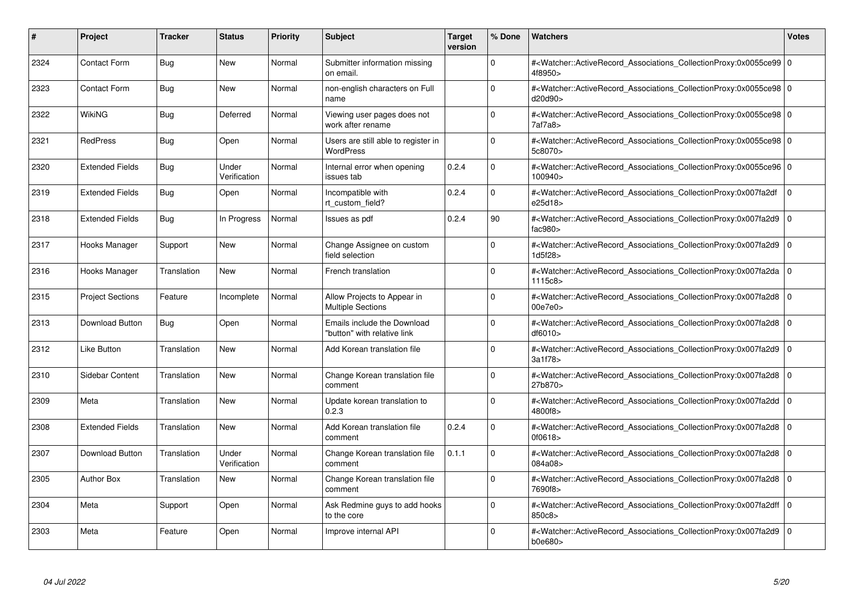| #    | Project                 | <b>Tracker</b> | <b>Status</b>         | <b>Priority</b> | <b>Subject</b>                                             | <b>Target</b><br>version | % Done   | <b>Watchers</b>                                                                                                                                          | <b>Votes</b> |
|------|-------------------------|----------------|-----------------------|-----------------|------------------------------------------------------------|--------------------------|----------|----------------------------------------------------------------------------------------------------------------------------------------------------------|--------------|
| 2324 | <b>Contact Form</b>     | Bug            | <b>New</b>            | Normal          | Submitter information missing<br>on email.                 |                          | $\Omega$ | # <watcher::activerecord 0<br="" associations="" collectionproxy:0x0055ce99=""  ="">4f8950&gt;</watcher::activerecord>                                   |              |
| 2323 | <b>Contact Form</b>     | <b>Bug</b>     | New                   | Normal          | non-english characters on Full<br>name                     |                          | $\Omega$ | # <watcher::activerecord 0<br="" associations="" collectionproxy:0x0055ce98=""  ="">d20d90&gt;</watcher::activerecord>                                   |              |
| 2322 | WikiNG                  | Bug            | Deferred              | Normal          | Viewing user pages does not<br>work after rename           |                          | $\Omega$ | # <watcher::activerecord_associations_collectionproxy:0x0055ce98 0<br="">7af7a8</watcher::activerecord_associations_collectionproxy:0x0055ce98>          |              |
| 2321 | <b>RedPress</b>         | Bug            | Open                  | Normal          | Users are still able to register in<br><b>WordPress</b>    |                          | $\Omega$ | # <watcher::activerecord 0<br="" associations="" collectionproxy:0x0055ce98=""  ="">5c8070&gt;</watcher::activerecord>                                   |              |
| 2320 | <b>Extended Fields</b>  | Bug            | Under<br>Verification | Normal          | Internal error when opening<br>issues tab                  | 0.2.4                    | $\Omega$ | # <watcher::activerecord_associations_collectionproxy:0x0055ce96 0<br=""  ="">100940&gt;</watcher::activerecord_associations_collectionproxy:0x0055ce96> |              |
| 2319 | <b>Extended Fields</b>  | Bug            | Open                  | Normal          | Incompatible with<br>rt custom field?                      | 0.2.4                    | $\Omega$ | # <watcher::activerecord_associations_collectionproxy:0x007fa2df<br>e25d18&gt;</watcher::activerecord_associations_collectionproxy:0x007fa2df<br>        | $\Omega$     |
| 2318 | <b>Extended Fields</b>  | Bug            | In Progress           | Normal          | Issues as pdf                                              | 0.2.4                    | 90       | # <watcher::activerecord associations="" collectionproxy:0x007fa2d9<br="">fac<math>980</math></watcher::activerecord>                                    | $\mathbf 0$  |
| 2317 | Hooks Manager           | Support        | New                   | Normal          | Change Assignee on custom<br>field selection               |                          | $\Omega$ | # <watcher::activerecord_associations_collectionproxy:0x007fa2d9 0<br=""  ="">1d5f28&gt;</watcher::activerecord_associations_collectionproxy:0x007fa2d9> |              |
| 2316 | Hooks Manager           | Translation    | <b>New</b>            | Normal          | French translation                                         |                          | $\Omega$ | # <watcher::activerecord 0<br="" associations="" collectionproxy:0x007fa2da=""  ="">1115c8&gt;</watcher::activerecord>                                   |              |
| 2315 | <b>Project Sections</b> | Feature        | Incomplete            | Normal          | Allow Projects to Appear in<br><b>Multiple Sections</b>    |                          | $\Omega$ | # <watcher::activerecord 0<br="" associations="" collectionproxy:0x007fa2d8=""  ="">00e7e0</watcher::activerecord>                                       |              |
| 2313 | Download Button         | Bug            | Open                  | Normal          | Emails include the Download<br>"button" with relative link |                          | $\Omega$ | # <watcher::activerecord_associations_collectionproxy:0x007fa2d8 0<br=""  ="">df6010&gt;</watcher::activerecord_associations_collectionproxy:0x007fa2d8> |              |
| 2312 | <b>Like Button</b>      | Translation    | <b>New</b>            | Normal          | Add Korean translation file                                |                          | $\Omega$ | # <watcher::activerecord associations="" collectionproxy:0x007fa2d9=""  <br="">3a1f78&gt;</watcher::activerecord>                                        | $\mathbf 0$  |
| 2310 | Sidebar Content         | Translation    | New                   | Normal          | Change Korean translation file<br>comment                  |                          | $\Omega$ | # <watcher::activerecord 0<br="" associations="" collectionproxy:0x007fa2d8=""  ="">27b870&gt;</watcher::activerecord>                                   |              |
| 2309 | Meta                    | Translation    | <b>New</b>            | Normal          | Update korean translation to<br>0.2.3                      |                          | $\Omega$ | # <watcher::activerecord_associations_collectionproxy:0x007fa2dd 0<br=""  ="">4800f8&gt;</watcher::activerecord_associations_collectionproxy:0x007fa2dd> |              |
| 2308 | <b>Extended Fields</b>  | Translation    | <b>New</b>            | Normal          | Add Korean translation file<br>comment                     | 0.2.4                    | $\Omega$ | # <watcher::activerecord 0<br="" associations="" collectionproxy:0x007fa2d8=""  ="">0f0618</watcher::activerecord>                                       |              |
| 2307 | Download Button         | Translation    | Under<br>Verification | Normal          | Change Korean translation file<br>comment                  | 0.1.1                    | $\Omega$ | # <watcher::activerecord_associations_collectionproxy:0x007fa2d8 0<br=""  ="">084a08&gt;</watcher::activerecord_associations_collectionproxy:0x007fa2d8> |              |
| 2305 | <b>Author Box</b>       | Translation    | <b>New</b>            | Normal          | Change Korean translation file<br>comment                  |                          | $\Omega$ | # <watcher::activerecord_associations_collectionproxy:0x007fa2d8 0<br=""  ="">7690f8&gt;</watcher::activerecord_associations_collectionproxy:0x007fa2d8> |              |
| 2304 | Meta                    | Support        | Open                  | Normal          | Ask Redmine guys to add hooks<br>to the core               |                          | $\Omega$ | # <watcher::activerecord 0<br="" associations="" collectionproxy:0x007fa2dff=""  ="">850c8&gt;</watcher::activerecord>                                   |              |
| 2303 | Meta                    | Feature        | Open                  | Normal          | Improve internal API                                       |                          | $\Omega$ | # <watcher::activerecord_associations_collectionproxy:0x007fa2d9 0<br="">b0e680&gt;</watcher::activerecord_associations_collectionproxy:0x007fa2d9>      |              |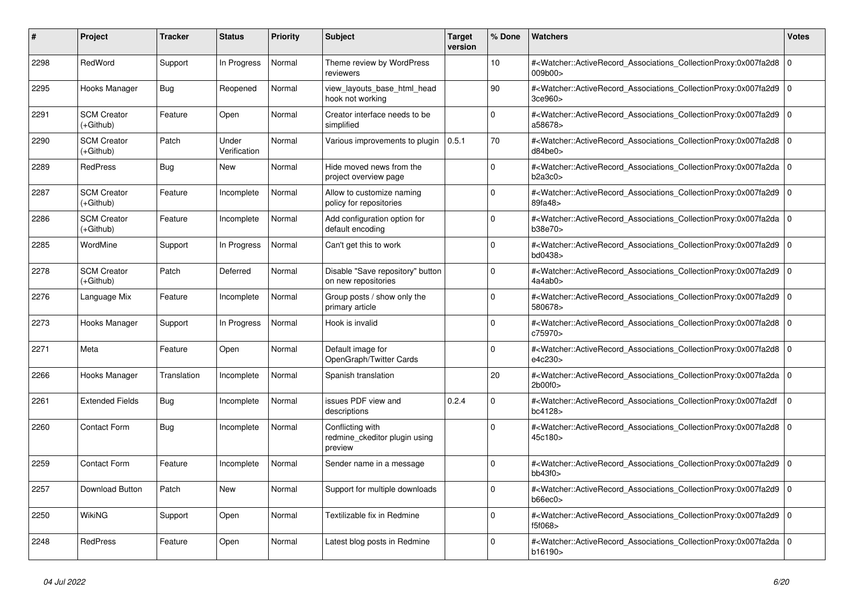| #    | <b>Project</b>                    | <b>Tracker</b> | <b>Status</b>         | <b>Priority</b> | <b>Subject</b>                                               | <b>Target</b><br>version | % Done      | <b>Watchers</b>                                                                                                                                          | <b>Votes</b>   |
|------|-----------------------------------|----------------|-----------------------|-----------------|--------------------------------------------------------------|--------------------------|-------------|----------------------------------------------------------------------------------------------------------------------------------------------------------|----------------|
| 2298 | RedWord                           | Support        | In Progress           | Normal          | Theme review by WordPress<br>reviewers                       |                          | 10          | # <watcher::activerecord_associations_collectionproxy:0x007fa2d8<br>009b00&gt;</watcher::activerecord_associations_collectionproxy:0x007fa2d8<br>        | 0              |
| 2295 | Hooks Manager                     | Bug            | Reopened              | Normal          | view_layouts_base_html_head<br>hook not working              |                          | 90          | # <watcher::activerecord_associations_collectionproxy:0x007fa2d9<br>3ce960&gt;</watcher::activerecord_associations_collectionproxy:0x007fa2d9<br>        | l O            |
| 2291 | <b>SCM Creator</b><br>(+Github)   | Feature        | Open                  | Normal          | Creator interface needs to be<br>simplified                  |                          | $\mathbf 0$ | # <watcher::activerecord 0<br="" associations="" collectionproxy:0x007fa2d9=""  ="">a58678&gt;</watcher::activerecord>                                   |                |
| 2290 | <b>SCM Creator</b><br>(+Github)   | Patch          | Under<br>Verification | Normal          | Various improvements to plugin                               | 0.5.1                    | 70          | # <watcher::activerecord_associations_collectionproxy:0x007fa2d8<br>d84be0</watcher::activerecord_associations_collectionproxy:0x007fa2d8<br>            | l 0            |
| 2289 | <b>RedPress</b>                   | Bug            | New                   | Normal          | Hide moved news from the<br>project overview page            |                          | $\Omega$    | # <watcher::activerecord_associations_collectionproxy:0x007fa2da 0<br=""  ="">b2a3c0</watcher::activerecord_associations_collectionproxy:0x007fa2da>     |                |
| 2287 | <b>SCM Creator</b><br>(+Github)   | Feature        | Incomplete            | Normal          | Allow to customize naming<br>policy for repositories         |                          | $\Omega$    | # <watcher::activerecord 0<br="" associations="" collectionproxy:0x007fa2d9=""  ="">89fa48&gt;</watcher::activerecord>                                   |                |
| 2286 | <b>SCM Creator</b><br>(+Github)   | Feature        | Incomplete            | Normal          | Add configuration option for<br>default encoding             |                          | $\Omega$    | # <watcher::activerecord_associations_collectionproxy:0x007fa2da<br>b38e70&gt;</watcher::activerecord_associations_collectionproxy:0x007fa2da<br>        | l 0            |
| 2285 | WordMine                          | Support        | In Progress           | Normal          | Can't get this to work                                       |                          | $\Omega$    | # <watcher::activerecord_associations_collectionproxy:0x007fa2d9 0<br=""  ="">bd0438&gt;</watcher::activerecord_associations_collectionproxy:0x007fa2d9> |                |
| 2278 | <b>SCM Creator</b><br>$(+Github)$ | Patch          | Deferred              | Normal          | Disable "Save repository" button<br>on new repositories      |                          | $\mathbf 0$ | # <watcher::activerecord_associations_collectionproxy:0x007fa2d9 0<br=""  ="">4a4ab0&gt;</watcher::activerecord_associations_collectionproxy:0x007fa2d9> |                |
| 2276 | Language Mix                      | Feature        | Incomplete            | Normal          | Group posts / show only the<br>primary article               |                          | $\Omega$    | # <watcher::activerecord_associations_collectionproxy:0x007fa2d9<br>580678&gt;</watcher::activerecord_associations_collectionproxy:0x007fa2d9<br>        | l 0            |
| 2273 | Hooks Manager                     | Support        | In Progress           | Normal          | Hook is invalid                                              |                          | $\Omega$    | # <watcher::activerecord_associations_collectionproxy:0x007fa2d8 0<br="">c75970&gt;</watcher::activerecord_associations_collectionproxy:0x007fa2d8>      |                |
| 2271 | Meta                              | Feature        | Open                  | Normal          | Default image for<br>OpenGraph/Twitter Cards                 |                          | $\Omega$    | # <watcher::activerecord 0<br="" associations="" collectionproxy:0x007fa2d8=""  ="">e4c230&gt;</watcher::activerecord>                                   |                |
| 2266 | Hooks Manager                     | Translation    | Incomplete            | Normal          | Spanish translation                                          |                          | 20          | # <watcher::activerecord associations="" collectionproxy:0x007fa2da<br="">2b00f0&gt;</watcher::activerecord>                                             | $\overline{0}$ |
| 2261 | <b>Extended Fields</b>            | Bug            | Incomplete            | Normal          | issues PDF view and<br>descriptions                          | 0.2.4                    | $\Omega$    | # <watcher::activerecord_associations_collectionproxy:0x007fa2df<br>bc4128&gt;</watcher::activerecord_associations_collectionproxy:0x007fa2df<br>        | 0              |
| 2260 | <b>Contact Form</b>               | Bug            | Incomplete            | Normal          | Conflicting with<br>redmine ckeditor plugin using<br>preview |                          | $\Omega$    | # <watcher::activerecord_associations_collectionproxy:0x007fa2d8 0<br=""  ="">45c180&gt;</watcher::activerecord_associations_collectionproxy:0x007fa2d8> |                |
| 2259 | <b>Contact Form</b>               | Feature        | Incomplete            | Normal          | Sender name in a message                                     |                          | $\mathbf 0$ | # <watcher::activerecord_associations_collectionproxy:0x007fa2d9<br>bb43f0</watcher::activerecord_associations_collectionproxy:0x007fa2d9<br>            | $\overline{0}$ |
| 2257 | <b>Download Button</b>            | Patch          | New                   | Normal          | Support for multiple downloads                               |                          | $\Omega$    | # <watcher::activerecord 0<br="" associations="" collectionproxy:0x007fa2d9=""  ="">b66ec0</watcher::activerecord>                                       |                |
| 2250 | <b>WikiNG</b>                     | Support        | Open                  | Normal          | Textilizable fix in Redmine                                  |                          | $\mathbf 0$ | # <watcher::activerecord_associations_collectionproxy:0x007fa2d9<br>f5f068&gt;</watcher::activerecord_associations_collectionproxy:0x007fa2d9<br>        | l O            |
| 2248 | <b>RedPress</b>                   | Feature        | Open                  | Normal          | Latest blog posts in Redmine                                 |                          | 0           | # <watcher::activerecord_associations_collectionproxy:0x007fa2da<br>b16190&gt;</watcher::activerecord_associations_collectionproxy:0x007fa2da<br>        | $\overline{0}$ |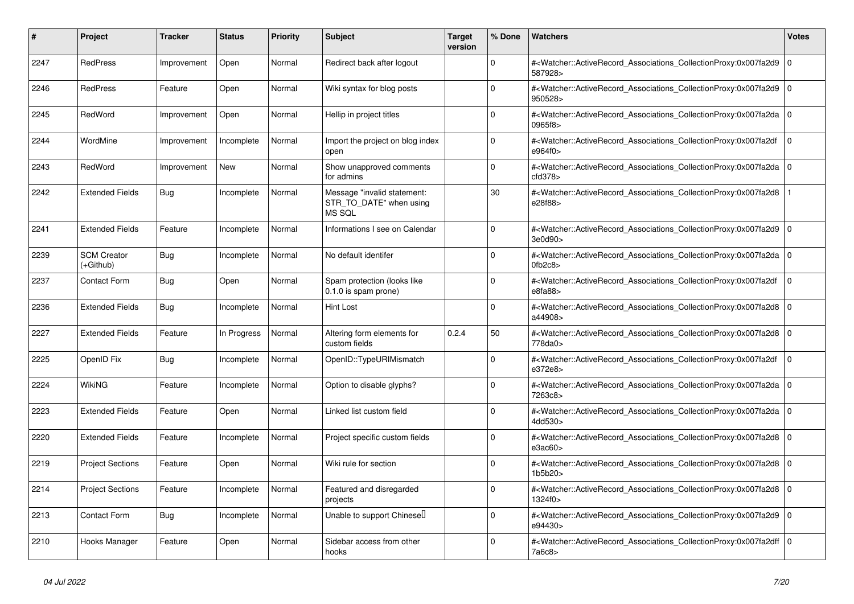| #    | Project                           | <b>Tracker</b> | <b>Status</b> | <b>Priority</b> | <b>Subject</b>                                                   | Target<br>version | % Done      | <b>Watchers</b>                                                                                                                                       | Votes          |
|------|-----------------------------------|----------------|---------------|-----------------|------------------------------------------------------------------|-------------------|-------------|-------------------------------------------------------------------------------------------------------------------------------------------------------|----------------|
| 2247 | RedPress                          | Improvement    | Open          | Normal          | Redirect back after logout                                       |                   | $\Omega$    | # <watcher::activerecord_associations_collectionproxy:0x007fa2d9<br>587928&gt;</watcher::activerecord_associations_collectionproxy:0x007fa2d9<br>     | l o            |
| 2246 | <b>RedPress</b>                   | Feature        | Open          | Normal          | Wiki syntax for blog posts                                       |                   | $\Omega$    | # <watcher::activerecord_associations_collectionproxy:0x007fa2d9<br>950528&gt;</watcher::activerecord_associations_collectionproxy:0x007fa2d9<br>     | I٥             |
| 2245 | RedWord                           | Improvement    | Open          | Normal          | Hellip in project titles                                         |                   | $\Omega$    | # <watcher::activerecord 0<br="" associations="" collectionproxy:0x007fa2da=""  ="">0965f8&gt;</watcher::activerecord>                                |                |
| 2244 | WordMine                          | Improvement    | Incomplete    | Normal          | Import the project on blog index<br>open                         |                   | $\Omega$    | # <watcher::activerecord_associations_collectionproxy:0x007fa2df<br>e964f0&gt;</watcher::activerecord_associations_collectionproxy:0x007fa2df<br>     | $\mathbf 0$    |
| 2243 | RedWord                           | Improvement    | <b>New</b>    | Normal          | Show unapproved comments<br>for admins                           |                   | $\Omega$    | # <watcher::activerecord_associations_collectionproxy:0x007fa2da 0<br="">cd378</watcher::activerecord_associations_collectionproxy:0x007fa2da>        |                |
| 2242 | <b>Extended Fields</b>            | Bug            | Incomplete    | Normal          | Message "invalid statement:<br>STR_TO_DATE" when using<br>MS SQL |                   | 30          | # <watcher::activerecord associations="" collectionproxy:0x007fa2d8<br="">e28f88&gt;</watcher::activerecord>                                          |                |
| 2241 | <b>Extended Fields</b>            | Feature        | Incomplete    | Normal          | Informations I see on Calendar                                   |                   | $\Omega$    | # <watcher::activerecord_associations_collectionproxy:0x007fa2d9<br>3e0d90&gt;</watcher::activerecord_associations_collectionproxy:0x007fa2d9<br>     | l O            |
| 2239 | <b>SCM Creator</b><br>$(+Github)$ | <b>Bug</b>     | Incomplete    | Normal          | No default identifer                                             |                   | $\Omega$    | # <watcher::activerecord_associations_collectionproxy:0x007fa2da 0<br=""  ="">0fb2c8</watcher::activerecord_associations_collectionproxy:0x007fa2da>  |                |
| 2237 | <b>Contact Form</b>               | Bug            | Open          | Normal          | Spam protection (looks like<br>$0.1.0$ is spam prone)            |                   | $\Omega$    | # <watcher::activerecord associations="" collectionproxy:0x007fa2df<br="">e8fa88&gt;</watcher::activerecord>                                          | $\mathbf 0$    |
| 2236 | <b>Extended Fields</b>            | <b>Bug</b>     | Incomplete    | Normal          | <b>Hint Lost</b>                                                 |                   | $\Omega$    | # <watcher::activerecord_associations_collectionproxy:0x007fa2d8<br>a44908&gt;</watcher::activerecord_associations_collectionproxy:0x007fa2d8<br>     | l O            |
| 2227 | <b>Extended Fields</b>            | Feature        | In Progress   | Normal          | Altering form elements for<br>custom fields                      | 0.2.4             | 50          | # <watcher::activerecord associations="" collectionproxy:0x007fa2d8<br="">778da0&gt;</watcher::activerecord>                                          | l o            |
| 2225 | OpenID Fix                        | Bug            | Incomplete    | Normal          | OpenID::TypeURIMismatch                                          |                   | $\Omega$    | # <watcher::activerecord associations="" collectionproxy:0x007fa2df<br="">e372e8&gt;</watcher::activerecord>                                          | $\mathbf 0$    |
| 2224 | WikiNG                            | Feature        | Incomplete    | Normal          | Option to disable glyphs?                                        |                   | $\Omega$    | # <watcher::activerecord_associations_collectionproxy:0x007fa2da<br>7263c8&gt;</watcher::activerecord_associations_collectionproxy:0x007fa2da<br>     | ۱o             |
| 2223 | <b>Extended Fields</b>            | Feature        | Open          | Normal          | Linked list custom field                                         |                   | $\Omega$    | # <watcher::activerecord 0<br="" associations="" collectionproxy:0x007fa2da=""  ="">4dd530&gt;</watcher::activerecord>                                |                |
| 2220 | <b>Extended Fields</b>            | Feature        | Incomplete    | Normal          | Project specific custom fields                                   |                   | $\mathbf 0$ | # <watcher::activerecord associations="" collectionproxy:0x007fa2d8<br="">e3ac60&gt;</watcher::activerecord>                                          | l O            |
| 2219 | <b>Project Sections</b>           | Feature        | Open          | Normal          | Wiki rule for section                                            |                   | $\Omega$    | # <watcher::activerecord_associations_collectionproxy:0x007fa2d8<br>1b5b20</watcher::activerecord_associations_collectionproxy:0x007fa2d8<br>         | $\overline{0}$ |
| 2214 | <b>Project Sections</b>           | Feature        | Incomplete    | Normal          | Featured and disregarded<br>projects                             |                   | $\Omega$    | # <watcher::activerecord 0<br="" associations="" collectionproxy:0x007fa2d8=""  ="">1324f0&gt;</watcher::activerecord>                                |                |
| 2213 | <b>Contact Form</b>               | <b>Bug</b>     | Incomplete    | Normal          | Unable to support Chinese <sup>[]</sup>                          |                   | $\Omega$    | # <watcher::activerecord_associations_collectionproxy:0x007fa2d9<br>e94430&gt;</watcher::activerecord_associations_collectionproxy:0x007fa2d9<br>     | l o            |
| 2210 | Hooks Manager                     | Feature        | Open          | Normal          | Sidebar access from other<br>hooks                               |                   | $\Omega$    | # <watcher::activerecord_associations_collectionproxy:0x007fa2dff 0<br=""  ="">7a6c8</watcher::activerecord_associations_collectionproxy:0x007fa2dff> |                |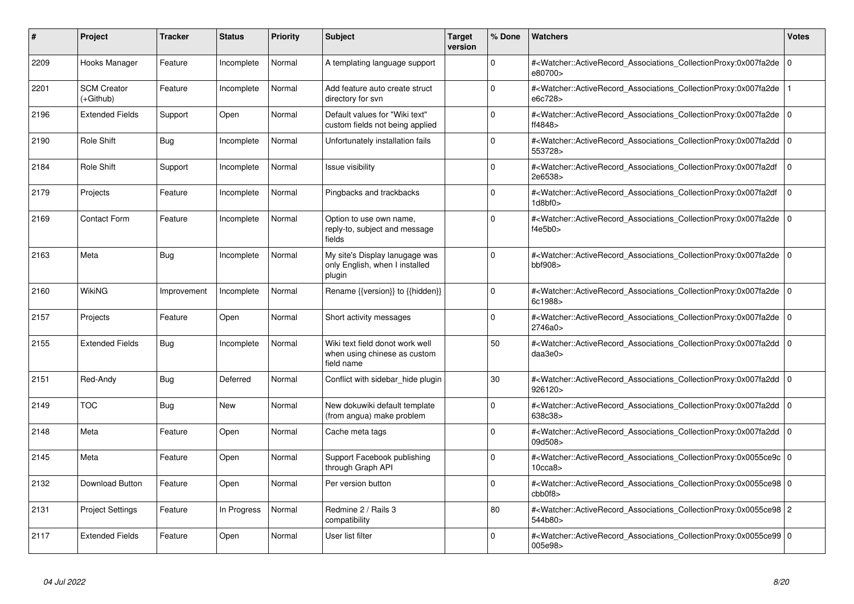| #    | Project                         | <b>Tracker</b> | <b>Status</b> | <b>Priority</b> | <b>Subject</b>                                                                | <b>Target</b><br>version | % Done      | <b>Watchers</b>                                                                                                                                                                           | <b>Votes</b> |
|------|---------------------------------|----------------|---------------|-----------------|-------------------------------------------------------------------------------|--------------------------|-------------|-------------------------------------------------------------------------------------------------------------------------------------------------------------------------------------------|--------------|
| 2209 | Hooks Manager                   | Feature        | Incomplete    | Normal          | A templating language support                                                 |                          | $\Omega$    | # <watcher::activerecord associations="" collectionproxy:0x007fa2de<br="">e80700&gt;</watcher::activerecord>                                                                              | 0            |
| 2201 | <b>SCM Creator</b><br>(+Github) | Feature        | Incomplete    | Normal          | Add feature auto create struct<br>directory for svn                           |                          | $\Omega$    | # <watcher::activerecord_associations_collectionproxy:0x007fa2de<br>e6c728&gt;</watcher::activerecord_associations_collectionproxy:0x007fa2de<br>                                         |              |
| 2196 | <b>Extended Fields</b>          | Support        | Open          | Normal          | Default values for "Wiki text"<br>custom fields not being applied             |                          | $\Omega$    | # <watcher::activerecord_associations_collectionproxy:0x007fa2de 0<br="">ff4848&gt;</watcher::activerecord_associations_collectionproxy:0x007fa2de>                                       |              |
| 2190 | Role Shift                      | <b>Bug</b>     | Incomplete    | Normal          | Unfortunately installation fails                                              |                          | $\Omega$    | # <watcher::activerecord_associations_collectionproxy:0x007fa2dd 0<br="">553728&gt;</watcher::activerecord_associations_collectionproxy:0x007fa2dd>                                       |              |
| 2184 | Role Shift                      | Support        | Incomplete    | Normal          | <b>Issue visibility</b>                                                       |                          | $\Omega$    | # <watcher::activerecord_associations_collectionproxy:0x007fa2df<br>2e6538&gt;</watcher::activerecord_associations_collectionproxy:0x007fa2df<br>                                         | $\Omega$     |
| 2179 | Projects                        | Feature        | Incomplete    | Normal          | Pingbacks and trackbacks                                                      |                          | $\Omega$    | # <watcher::activerecord_associations_collectionproxy:0x007fa2df<br><math>1</math>d<math>8</math>bf<math>0</math> &gt;</watcher::activerecord_associations_collectionproxy:0x007fa2df<br> | $\Omega$     |
| 2169 | <b>Contact Form</b>             | Feature        | Incomplete    | Normal          | Option to use own name,<br>reply-to, subject and message<br>fields            |                          | $\Omega$    | # <watcher::activerecord_associations_collectionproxy:0x007fa2de 0<br=""  ="">f4e5b0&gt;</watcher::activerecord_associations_collectionproxy:0x007fa2de>                                  |              |
| 2163 | Meta                            | <b>Bug</b>     | Incomplete    | Normal          | My site's Display lanugage was<br>only English, when I installed<br>plugin    |                          | $\Omega$    | # <watcher::activerecord 0<br="" associations="" collectionproxy:0x007fa2de=""  ="">bbf908</watcher::activerecord>                                                                        |              |
| 2160 | WikiNG                          | Improvement    | Incomplete    | Normal          | Rename {{version}} to {{hidden}}                                              |                          | $\mathbf 0$ | # <watcher::activerecord associations="" collectionproxy:0x007fa2de<br="">6c1988&gt;</watcher::activerecord>                                                                              | ۱٥           |
| 2157 | Projects                        | Feature        | Open          | Normal          | Short activity messages                                                       |                          | U           | # <watcher::activerecord 0<br="" associations="" collectionproxy:0x007fa2de=""  ="">2746a0</watcher::activerecord>                                                                        |              |
| 2155 | <b>Extended Fields</b>          | Bug            | Incomplete    | Normal          | Wiki text field donot work well<br>when using chinese as custom<br>field name |                          | 50          | # <watcher::activerecord associations="" collectionproxy:0x007fa2dd<br="">daa3e0<sub>&gt;</sub></watcher::activerecord>                                                                   | l O          |
| 2151 | Red-Andy                        | Bug            | Deferred      | Normal          | Conflict with sidebar_hide plugin                                             |                          | 30          | # <watcher::activerecord_associations_collectionproxy:0x007fa2dd 0<br=""  ="">926120&gt;</watcher::activerecord_associations_collectionproxy:0x007fa2dd>                                  |              |
| 2149 | <b>TOC</b>                      | Bug            | New           | Normal          | New dokuwiki default template<br>(from angua) make problem                    |                          | $\mathbf 0$ | # <watcher::activerecord_associations_collectionproxy:0x007fa2dd 0<br=""  ="">638c38&gt;</watcher::activerecord_associations_collectionproxy:0x007fa2dd>                                  |              |
| 2148 | Meta                            | Feature        | Open          | Normal          | Cache meta tags                                                               |                          | $\Omega$    | # <watcher::activerecord 0<br="" associations="" collectionproxy:0x007fa2dd=""  ="">09d508&gt;</watcher::activerecord>                                                                    |              |
| 2145 | Meta                            | Feature        | Open          | Normal          | Support Facebook publishing<br>through Graph API                              |                          | $\Omega$    | # <watcher::activerecord 0<br="" associations="" collectionproxy:0x0055ce9c=""  ="">10cca8</watcher::activerecord>                                                                        |              |
| 2132 | Download Button                 | Feature        | Open          | Normal          | Per version button                                                            |                          | $\Omega$    | # <watcher::activerecord_associations_collectionproxy:0x0055ce98 0<br="">cbb0f8</watcher::activerecord_associations_collectionproxy:0x0055ce98>                                           |              |
| 2131 | <b>Project Settings</b>         | Feature        | In Progress   | Normal          | Redmine 2 / Rails 3<br>compatibility                                          |                          | 80          | # <watcher::activerecord_associations_collectionproxy:0x0055ce98 2<br="">544b80&gt;</watcher::activerecord_associations_collectionproxy:0x0055ce98>                                       |              |
| 2117 | <b>Extended Fields</b>          | Feature        | Open          | Normal          | User list filter                                                              |                          | $\Omega$    | # <watcher::activerecord_associations_collectionproxy:0x0055ce99 0<br=""  ="">005e98&gt;</watcher::activerecord_associations_collectionproxy:0x0055ce99>                                  |              |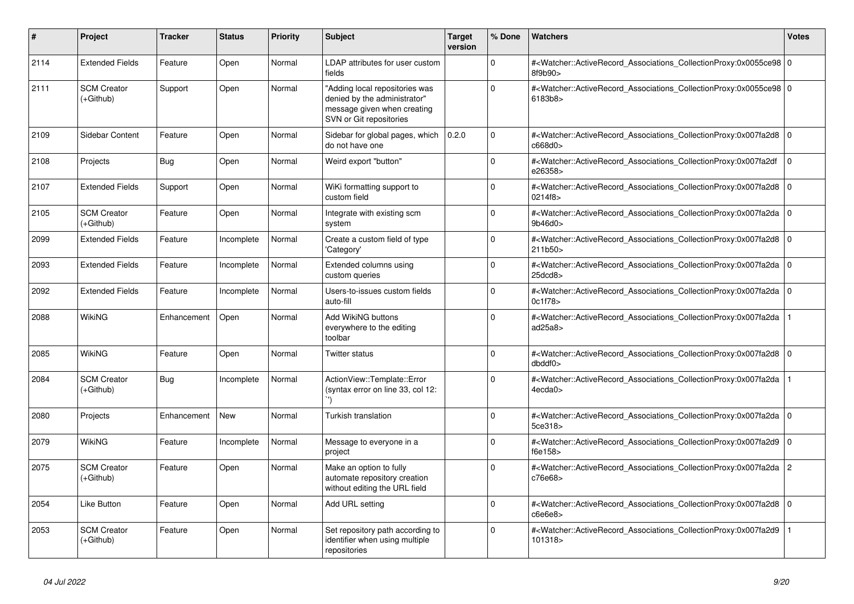| $\vert$ # | <b>Project</b>                    | <b>Tracker</b> | <b>Status</b> | <b>Priority</b> | <b>Subject</b>                                                                                                           | Target<br>version | % Done   | Watchers                                                                                                                                                 | <b>Votes</b> |
|-----------|-----------------------------------|----------------|---------------|-----------------|--------------------------------------------------------------------------------------------------------------------------|-------------------|----------|----------------------------------------------------------------------------------------------------------------------------------------------------------|--------------|
| 2114      | <b>Extended Fields</b>            | Feature        | Open          | Normal          | LDAP attributes for user custom<br>fields                                                                                |                   | $\Omega$ | # <watcher::activerecord_associations_collectionproxy:0x0055ce98 0<br=""  ="">8f9b90&gt;</watcher::activerecord_associations_collectionproxy:0x0055ce98> |              |
| 2111      | <b>SCM Creator</b><br>(+Github)   | Support        | Open          | Normal          | "Adding local repositories was<br>denied by the administrator"<br>message given when creating<br>SVN or Git repositories |                   | $\Omega$ | # <watcher::activerecord_associations_collectionproxy:0x0055ce98 0<br=""  ="">6183b8&gt;</watcher::activerecord_associations_collectionproxy:0x0055ce98> |              |
| 2109      | Sidebar Content                   | Feature        | Open          | Normal          | Sidebar for global pages, which<br>do not have one                                                                       | 0.2.0             | $\Omega$ | # <watcher::activerecord 0<br="" associations="" collectionproxy:0x007fa2d8="">c668d0&gt;</watcher::activerecord>                                        |              |
| 2108      | Projects                          | Bug            | Open          | Normal          | Weird export "button"                                                                                                    |                   | $\Omega$ | # <watcher::activerecord_associations_collectionproxy:0x007fa2df<br>e26358&gt;</watcher::activerecord_associations_collectionproxy:0x007fa2df<br>        | $\mathbf 0$  |
| 2107      | <b>Extended Fields</b>            | Support        | Open          | Normal          | WiKi formatting support to<br>custom field                                                                               |                   | $\Omega$ | # <watcher::activerecord_associations_collectionproxy:0x007fa2d8<br>0214f8&gt;</watcher::activerecord_associations_collectionproxy:0x007fa2d8<br>        | l O          |
| 2105      | <b>SCM Creator</b><br>$(+Github)$ | Feature        | Open          | Normal          | Integrate with existing scm<br>system                                                                                    |                   | $\Omega$ | # <watcher::activerecord 0<br="" associations="" collectionproxy:0x007fa2da=""  ="">9b46d0&gt;</watcher::activerecord>                                   |              |
| 2099      | <b>Extended Fields</b>            | Feature        | Incomplete    | Normal          | Create a custom field of type<br>'Category'                                                                              |                   | $\Omega$ | # <watcher::activerecord_associations_collectionproxy:0x007fa2d8 0<br=""  ="">211b50</watcher::activerecord_associations_collectionproxy:0x007fa2d8>     |              |
| 2093      | <b>Extended Fields</b>            | Feature        | Incomplete    | Normal          | Extended columns using<br>custom queries                                                                                 |                   | $\Omega$ | # <watcher::activerecord_associations_collectionproxy:0x007fa2da<br>25dcd8</watcher::activerecord_associations_collectionproxy:0x007fa2da<br>            | ۱o           |
| 2092      | <b>Extended Fields</b>            | Feature        | Incomplete    | Normal          | Users-to-issues custom fields<br>auto-fill                                                                               |                   | $\Omega$ | # <watcher::activerecord 0<br="" associations="" collectionproxy:0x007fa2da=""  ="">0c1f78&gt;</watcher::activerecord>                                   |              |
| 2088      | WikiNG                            | Enhancement    | Open          | Normal          | Add WikiNG buttons<br>everywhere to the editing<br>toolbar                                                               |                   | $\Omega$ | # <watcher::activerecord associations="" collectionproxy:0x007fa2da<br="">ad25a8&gt;</watcher::activerecord>                                             |              |
| 2085      | <b>WikiNG</b>                     | Feature        | Open          | Normal          | Twitter status                                                                                                           |                   | $\Omega$ | # <watcher::activerecord_associations_collectionproxy:0x007fa2d8 0<br=""  ="">dbddf0</watcher::activerecord_associations_collectionproxy:0x007fa2d8>     |              |
| 2084      | <b>SCM Creator</b><br>$(+Github)$ | Bug            | Incomplete    | Normal          | ActionView::Template::Error<br>(syntax error on line 33, col 12:                                                         |                   | $\Omega$ | # <watcher::activerecord_associations_collectionproxy:0x007fa2da<br>4ecda0</watcher::activerecord_associations_collectionproxy:0x007fa2da<br>            |              |
| 2080      | Projects                          | Enhancement    | <b>New</b>    | Normal          | Turkish translation                                                                                                      |                   | $\Omega$ | # <watcher::activerecord_associations_collectionproxy:0x007fa2da 0<br=""  ="">5ce318&gt;</watcher::activerecord_associations_collectionproxy:0x007fa2da> |              |
| 2079      | <b>WikiNG</b>                     | Feature        | Incomplete    | Normal          | Message to everyone in a<br>project                                                                                      |                   | $\Omega$ | # <watcher::activerecord_associations_collectionproxy:0x007fa2d9<br>f6e158&gt;</watcher::activerecord_associations_collectionproxy:0x007fa2d9<br>        | l O          |
| 2075      | <b>SCM Creator</b><br>(+Github)   | Feature        | Open          | Normal          | Make an option to fully<br>automate repository creation<br>without editing the URL field                                 |                   | $\Omega$ | # <watcher::activerecord_associations_collectionproxy:0x007fa2da 2<br="">c76e68&gt;</watcher::activerecord_associations_collectionproxy:0x007fa2da>      |              |
| 2054      | Like Button                       | Feature        | Open          | Normal          | Add URL setting                                                                                                          |                   | $\Omega$ | # <watcher::activerecord_associations_collectionproxy:0x007fa2d8 0<br=""  ="">c6e6e8</watcher::activerecord_associations_collectionproxy:0x007fa2d8>     |              |
| 2053      | <b>SCM Creator</b><br>(+Github)   | Feature        | Open          | Normal          | Set repository path according to<br>identifier when using multiple<br>repositories                                       |                   | $\Omega$ | # <watcher::activerecord associations="" collectionproxy:0x007fa2d9<br="">101318&gt;</watcher::activerecord>                                             |              |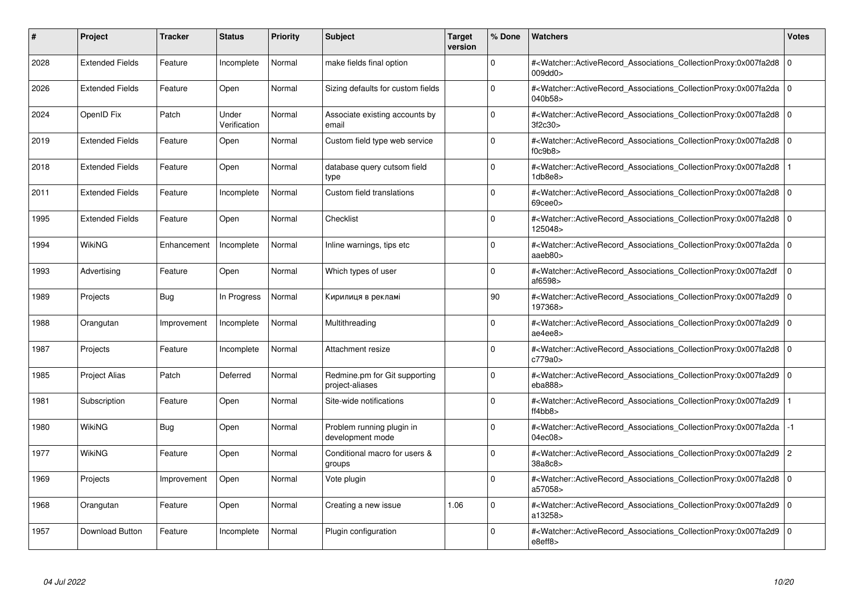| #    | Project                | <b>Tracker</b> | <b>Status</b>         | <b>Priority</b> | <b>Subject</b>                                   | <b>Target</b><br>version | % Done   | <b>Watchers</b>                                                                                                                                                           | <b>Votes</b>   |
|------|------------------------|----------------|-----------------------|-----------------|--------------------------------------------------|--------------------------|----------|---------------------------------------------------------------------------------------------------------------------------------------------------------------------------|----------------|
| 2028 | <b>Extended Fields</b> | Feature        | Incomplete            | Normal          | make fields final option                         |                          | $\Omega$ | # <watcher::activerecord associations="" collectionproxy:0x007fa2d8<br="">009dd0&gt;</watcher::activerecord>                                                              | $\mathbf 0$    |
| 2026 | <b>Extended Fields</b> | Feature        | Open                  | Normal          | Sizing defaults for custom fields                |                          | $\Omega$ | # <watcher::activerecord 0<br="" associations="" collectionproxy:0x007fa2da=""  ="">040b58&gt;</watcher::activerecord>                                                    |                |
| 2024 | OpenID Fix             | Patch          | Under<br>Verification | Normal          | Associate existing accounts by<br>email          |                          | $\Omega$ | # <watcher::activerecord_associations_collectionproxy:0x007fa2d8 0<br=""  ="">3f2c30&gt;</watcher::activerecord_associations_collectionproxy:0x007fa2d8>                  |                |
| 2019 | <b>Extended Fields</b> | Feature        | Open                  | Normal          | Custom field type web service                    |                          | $\Omega$ | # <watcher::activerecord associations="" collectionproxy:0x007fa2d8=""  <br="">f0c9b8</watcher::activerecord>                                                             | $\mathbf 0$    |
| 2018 | <b>Extended Fields</b> | Feature        | Open                  | Normal          | database query cutsom field<br>type              |                          | $\Omega$ | # <watcher::activerecord_associations_collectionproxy:0x007fa2d8<br>1db8e8&gt;</watcher::activerecord_associations_collectionproxy:0x007fa2d8<br>                         |                |
| 2011 | <b>Extended Fields</b> | Feature        | Incomplete            | Normal          | Custom field translations                        |                          | $\Omega$ | # <watcher::activerecord_associations_collectionproxy:0x007fa2d8  <br=""><math>69</math>cee<math>0</math></watcher::activerecord_associations_collectionproxy:0x007fa2d8> | $\Omega$       |
| 1995 | <b>Extended Fields</b> | Feature        | Open                  | Normal          | Checklist                                        |                          | $\Omega$ | # <watcher::activerecord 0<br="" associations="" collectionproxy:0x007fa2d8=""  ="">125048&gt;</watcher::activerecord>                                                    |                |
| 1994 | <b>WikiNG</b>          | Enhancement    | Incomplete            | Normal          | Inline warnings, tips etc                        |                          | $\Omega$ | # <watcher::activerecord_associations_collectionproxy:0x007fa2da 0<br=""  ="">aaeb80&gt;</watcher::activerecord_associations_collectionproxy:0x007fa2da>                  |                |
| 1993 | Advertising            | Feature        | Open                  | Normal          | Which types of user                              |                          | $\Omega$ | # <watcher::activerecord associations="" collectionproxy:0x007fa2df<br="">af6598&gt;</watcher::activerecord>                                                              | $\mathbf 0$    |
| 1989 | Projects               | Bug            | In Progress           | Normal          | Кирилиця в рекламі                               |                          | 90       | # <watcher::activerecord associations="" collectionproxy:0x007fa2d9<br="">197368&gt;</watcher::activerecord>                                                              | $\mathbf 0$    |
| 1988 | Orangutan              | Improvement    | Incomplete            | Normal          | Multithreading                                   |                          | $\Omega$ | # <watcher::activerecord_associations_collectionproxy:0x007fa2d9 0<br=""  ="">ae4ee8&gt;</watcher::activerecord_associations_collectionproxy:0x007fa2d9>                  |                |
| 1987 | Projects               | Feature        | Incomplete            | Normal          | Attachment resize                                |                          | $\Omega$ | # <watcher::activerecord associations="" collectionproxy:0x007fa2d8=""  <br="">c779a0&gt;</watcher::activerecord>                                                         | $\mathbf 0$    |
| 1985 | <b>Project Alias</b>   | Patch          | Deferred              | Normal          | Redmine.pm for Git supporting<br>project-aliases |                          | $\Omega$ | # <watcher::activerecord_associations_collectionproxy:0x007fa2d9 0<br=""  ="">eba888</watcher::activerecord_associations_collectionproxy:0x007fa2d9>                      |                |
| 1981 | Subscription           | Feature        | Open                  | Normal          | Site-wide notifications                          |                          | $\Omega$ | # <watcher::activerecord_associations_collectionproxy:0x007fa2d9<br>ft4bb8</watcher::activerecord_associations_collectionproxy:0x007fa2d9<br>                             |                |
| 1980 | WikiNG                 | Bug            | Open                  | Normal          | Problem running plugin in<br>development mode    |                          | $\Omega$ | # <watcher::activerecord associations="" collectionproxy:0x007fa2da<br="">04ec08&gt;</watcher::activerecord>                                                              | $-1$           |
| 1977 | <b>WikiNG</b>          | Feature        | Open                  | Normal          | Conditional macro for users &<br>groups          |                          | $\Omega$ | # <watcher::activerecord_associations_collectionproxy:0x007fa2d9<br>38a8c8</watcher::activerecord_associations_collectionproxy:0x007fa2d9<br>                             | $\overline{c}$ |
| 1969 | Projects               | Improvement    | Open                  | Normal          | Vote plugin                                      |                          | $\Omega$ | # <watcher::activerecord 0<br="" associations="" collectionproxy:0x007fa2d8=""  ="">a57058&gt;</watcher::activerecord>                                                    |                |
| 1968 | Orangutan              | Feature        | Open                  | Normal          | Creating a new issue                             | 1.06                     | $\Omega$ | # <watcher::activerecord associations="" collectionproxy:0x007fa2d9<br="">a13258&gt;</watcher::activerecord>                                                              | $\mathbf 0$    |
| 1957 | Download Button        | Feature        | Incomplete            | Normal          | Plugin configuration                             |                          | $\Omega$ | # <watcher::activerecord_associations_collectionproxy:0x007fa2d9 0<br=""  ="">e8eff8&gt;</watcher::activerecord_associations_collectionproxy:0x007fa2d9>                  |                |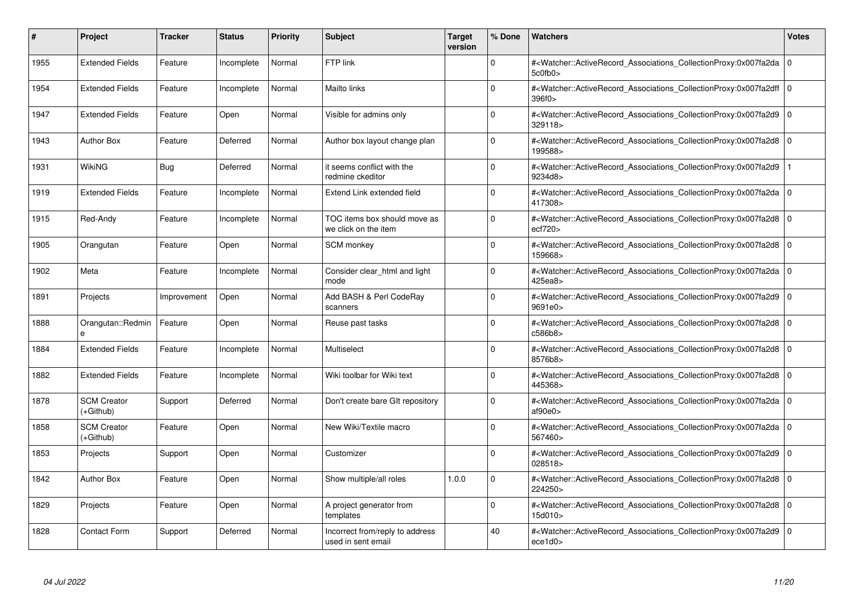| #    | Project                         | <b>Tracker</b> | <b>Status</b> | <b>Priority</b> | <b>Subject</b>                                        | <b>Target</b><br>version | % Done      | <b>Watchers</b>                                                                                                                                          | <b>Votes</b> |
|------|---------------------------------|----------------|---------------|-----------------|-------------------------------------------------------|--------------------------|-------------|----------------------------------------------------------------------------------------------------------------------------------------------------------|--------------|
| 1955 | <b>Extended Fields</b>          | Feature        | Incomplete    | Normal          | FTP link                                              |                          | 0           | # <watcher::activerecord associations="" collectionproxy:0x007fa2da<br="">5c0fb0&gt;</watcher::activerecord>                                             | l 0          |
| 1954 | <b>Extended Fields</b>          | Feature        | Incomplete    | Normal          | Mailto links                                          |                          | $\Omega$    | # <watcher::activerecord 0<br="" associations="" collectionproxy:0x007fa2dff=""  ="">396f0&gt;</watcher::activerecord>                                   |              |
| 1947 | <b>Extended Fields</b>          | Feature        | Open          | Normal          | Visible for admins only                               |                          | $\Omega$    | # <watcher::activerecord_associations_collectionproxy:0x007fa2d9<br>329118&gt;</watcher::activerecord_associations_collectionproxy:0x007fa2d9<br>        | 0            |
| 1943 | <b>Author Box</b>               | Feature        | Deferred      | Normal          | Author box layout change plan                         |                          | $\Omega$    | # <watcher::activerecord_associations_collectionproxy:0x007fa2d8 0<br="">199588&gt;</watcher::activerecord_associations_collectionproxy:0x007fa2d8>      |              |
| 1931 | WikiNG                          | Bug            | Deferred      | Normal          | it seems conflict with the<br>redmine ckeditor        |                          | $\Omega$    | # <watcher::activerecord_associations_collectionproxy:0x007fa2d9<br>9234d8&gt;</watcher::activerecord_associations_collectionproxy:0x007fa2d9<br>        |              |
| 1919 | <b>Extended Fields</b>          | Feature        | Incomplete    | Normal          | Extend Link extended field                            |                          | $\Omega$    | # <watcher::activerecord_associations_collectionproxy:0x007fa2da 0<br=""  ="">417308&gt;</watcher::activerecord_associations_collectionproxy:0x007fa2da> |              |
| 1915 | Red-Andy                        | Feature        | Incomplete    | Normal          | TOC items box should move as<br>we click on the item  |                          | $\Omega$    | # <watcher::activerecord associations="" collectionproxy:0x007fa2d8<br="">ect720</watcher::activerecord>                                                 | $\mathbf 0$  |
| 1905 | Orangutan                       | Feature        | Open          | Normal          | SCM monkey                                            |                          | $\Omega$    | # <watcher::activerecord_associations_collectionproxy:0x007fa2d8 0<br=""  ="">159668&gt;</watcher::activerecord_associations_collectionproxy:0x007fa2d8> |              |
| 1902 | Meta                            | Feature        | Incomplete    | Normal          | Consider clear html and light<br>mode                 |                          | $\Omega$    | # <watcher::activerecord_associations_collectionproxy:0x007fa2da 0<br=""  ="">425ea8&gt;</watcher::activerecord_associations_collectionproxy:0x007fa2da> |              |
| 1891 | Projects                        | Improvement    | Open          | Normal          | Add BASH & Perl CodeRay<br>scanners                   |                          | $\Omega$    | # <watcher::activerecord 0<br="" associations="" collectionproxy:0x007fa2d9=""  ="">9691e0&gt;</watcher::activerecord>                                   |              |
| 1888 | Orangutan::Redmin<br>e          | Feature        | Open          | Normal          | Reuse past tasks                                      |                          | $\Omega$    | # <watcher::activerecord_associations_collectionproxy:0x007fa2d8 0<br="">c586b8&gt;</watcher::activerecord_associations_collectionproxy:0x007fa2d8>      |              |
| 1884 | <b>Extended Fields</b>          | Feature        | Incomplete    | Normal          | Multiselect                                           |                          | $\Omega$    | # <watcher::activerecord_associations_collectionproxy:0x007fa2d8 0<br=""  ="">8576b8&gt;</watcher::activerecord_associations_collectionproxy:0x007fa2d8> |              |
| 1882 | <b>Extended Fields</b>          | Feature        | Incomplete    | Normal          | Wiki toolbar for Wiki text                            |                          | $\Omega$    | # <watcher::activerecord 0<br="" associations="" collectionproxy:0x007fa2d8=""  ="">445368&gt;</watcher::activerecord>                                   |              |
| 1878 | <b>SCM Creator</b><br>(+Github) | Support        | Deferred      | Normal          | Don't create bare GIt repository                      |                          | $\Omega$    | # <watcher::activerecord_associations_collectionproxy:0x007fa2da 0<br=""  ="">af90e0&gt;</watcher::activerecord_associations_collectionproxy:0x007fa2da> |              |
| 1858 | <b>SCM Creator</b><br>(+Github) | Feature        | Open          | Normal          | New Wiki/Textile macro                                |                          | $\Omega$    | # <watcher::activerecord 0<br="" associations="" collectionproxy:0x007fa2da=""  ="">567460&gt;</watcher::activerecord>                                   |              |
| 1853 | Projects                        | Support        | Open          | Normal          | Customizer                                            |                          | $\Omega$    | # <watcher::activerecord_associations_collectionproxy:0x007fa2d9 0<br="">028518&gt;</watcher::activerecord_associations_collectionproxy:0x007fa2d9>      |              |
| 1842 | <b>Author Box</b>               | Feature        | Open          | Normal          | Show multiple/all roles                               | 1.0.0                    | $\Omega$    | # <watcher::activerecord_associations_collectionproxy:0x007fa2d8 0<br=""  ="">224250&gt;</watcher::activerecord_associations_collectionproxy:0x007fa2d8> |              |
| 1829 | Projects                        | Feature        | Open          | Normal          | A project generator from<br>templates                 |                          | $\mathbf 0$ | # <watcher::activerecord 0<br="" associations="" collectionproxy:0x007fa2d8=""  ="">15d010&gt;</watcher::activerecord>                                   |              |
| 1828 | <b>Contact Form</b>             | Support        | Deferred      | Normal          | Incorrect from/reply to address<br>used in sent email |                          | 40          | # <watcher::activerecord_associations_collectionproxy:0x007fa2d9 0<br=""  ="">ece1d0</watcher::activerecord_associations_collectionproxy:0x007fa2d9>     |              |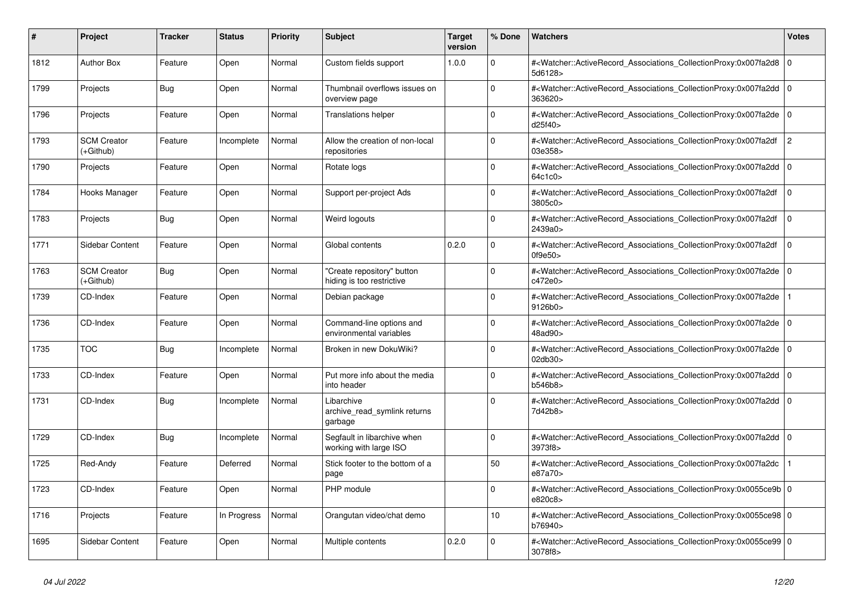| #    | Project                         | <b>Tracker</b> | <b>Status</b> | <b>Priority</b> | <b>Subject</b>                                          | <b>Target</b><br>version | % Done   | <b>Watchers</b>                                                                                                                                          | <b>Votes</b>   |
|------|---------------------------------|----------------|---------------|-----------------|---------------------------------------------------------|--------------------------|----------|----------------------------------------------------------------------------------------------------------------------------------------------------------|----------------|
| 1812 | <b>Author Box</b>               | Feature        | Open          | Normal          | Custom fields support                                   | 1.0.0                    | $\Omega$ | # <watcher::activerecord_associations_collectionproxy:0x007fa2d8  <br="">5d6128&gt;</watcher::activerecord_associations_collectionproxy:0x007fa2d8>      | $\mathbf 0$    |
| 1799 | Projects                        | <b>Bug</b>     | Open          | Normal          | Thumbnail overflows issues on<br>overview page          |                          | $\Omega$ | # <watcher::activerecord_associations_collectionproxy:0x007fa2dd 0<br=""  ="">363620&gt;</watcher::activerecord_associations_collectionproxy:0x007fa2dd> |                |
| 1796 | Projects                        | Feature        | Open          | Normal          | <b>Translations helper</b>                              |                          | $\Omega$ | # <watcher::activerecord_associations_collectionproxy:0x007fa2de 0<br=""  ="">d25f40&gt;</watcher::activerecord_associations_collectionproxy:0x007fa2de> |                |
| 1793 | <b>SCM Creator</b><br>(+Github) | Feature        | Incomplete    | Normal          | Allow the creation of non-local<br>repositories         |                          | $\Omega$ | # <watcher::activerecord_associations_collectionproxy:0x007fa2df<br>03e358&gt;</watcher::activerecord_associations_collectionproxy:0x007fa2df<br>        | $\overline{c}$ |
| 1790 | Projects                        | Feature        | Open          | Normal          | Rotate logs                                             |                          | $\Omega$ | # <watcher::activerecord associations="" collectionproxy:0x007fa2dd<br="">64c1c0&gt;</watcher::activerecord>                                             | $\mathbf 0$    |
| 1784 | Hooks Manager                   | Feature        | Open          | Normal          | Support per-project Ads                                 |                          | $\Omega$ | # <watcher::activerecord_associations_collectionproxy:0x007fa2df<br>3805c0&gt;</watcher::activerecord_associations_collectionproxy:0x007fa2df<br>        | $\mathbf 0$    |
| 1783 | Projects                        | <b>Bug</b>     | Open          | Normal          | Weird logouts                                           |                          | $\Omega$ | # <watcher::activerecord_associations_collectionproxy:0x007fa2df<br>2439a0&gt;</watcher::activerecord_associations_collectionproxy:0x007fa2df<br>        | $\Omega$       |
| 1771 | Sidebar Content                 | Feature        | Open          | Normal          | Global contents                                         | 0.2.0                    | $\Omega$ | # <watcher::activerecord associations="" collectionproxy:0x007fa2df<br="">0f9e50&gt;</watcher::activerecord>                                             | $\mathbf 0$    |
| 1763 | <b>SCM Creator</b><br>(+Github) | Bug            | Open          | Normal          | 'Create repository" button<br>hiding is too restrictive |                          | $\Omega$ | # <watcher::activerecord_associations_collectionproxy:0x007fa2de 0<br=""  ="">c472e0&gt;</watcher::activerecord_associations_collectionproxy:0x007fa2de> |                |
| 1739 | CD-Index                        | Feature        | Open          | Normal          | Debian package                                          |                          | $\Omega$ | # <watcher::activerecord_associations_collectionproxy:0x007fa2de<br>9126b0&gt;</watcher::activerecord_associations_collectionproxy:0x007fa2de<br>        |                |
| 1736 | CD-Index                        | Feature        | Open          | Normal          | Command-line options and<br>environmental variables     |                          | $\Omega$ | # <watcher::activerecord_associations_collectionproxy:0x007fa2de 0<br=""  ="">48ad90&gt;</watcher::activerecord_associations_collectionproxy:0x007fa2de> |                |
| 1735 | <b>TOC</b>                      | <b>Bug</b>     | Incomplete    | Normal          | Broken in new DokuWiki?                                 |                          | $\Omega$ | # <watcher::activerecord_associations_collectionproxy:0x007fa2de  <br="">02db30&gt;</watcher::activerecord_associations_collectionproxy:0x007fa2de>      | $\Omega$       |
| 1733 | CD-Index                        | Feature        | Open          | Normal          | Put more info about the media<br>into header            |                          | $\Omega$ | # <watcher::activerecord associations="" collectionproxy:0x007fa2dd<br="">b546b8&gt;</watcher::activerecord>                                             | $\mathbf 0$    |
| 1731 | CD-Index                        | Bug            | Incomplete    | Normal          | Libarchive<br>archive_read_symlink returns<br>garbage   |                          | $\Omega$ | # <watcher::activerecord_associations_collectionproxy:0x007fa2dd 0<br="">7d42b8&gt;</watcher::activerecord_associations_collectionproxy:0x007fa2dd>      |                |
| 1729 | CD-Index                        | Bug            | Incomplete    | Normal          | Segfault in libarchive when<br>working with large ISO   |                          | $\Omega$ | # <watcher::activerecord 0<br="" associations="" collectionproxy:0x007fa2dd=""  ="">3973f8&gt;</watcher::activerecord>                                   |                |
| 1725 | Red-Andy                        | Feature        | Deferred      | Normal          | Stick footer to the bottom of a<br>page                 |                          | 50       | # <watcher::activerecord_associations_collectionproxy:0x007fa2dc<br>e87a70&gt;</watcher::activerecord_associations_collectionproxy:0x007fa2dc<br>        |                |
| 1723 | CD-Index                        | Feature        | Open          | Normal          | PHP module                                              |                          | $\Omega$ | # <watcher::activerecord_associations_collectionproxy:0x0055ce9b 0<br=""  ="">e820c8&gt;</watcher::activerecord_associations_collectionproxy:0x0055ce9b> |                |
| 1716 | Projects                        | Feature        | In Progress   | Normal          | Orangutan video/chat demo                               |                          | 10       | # <watcher::activerecord_associations_collectionproxy:0x0055ce98 0<br=""  ="">b76940&gt;</watcher::activerecord_associations_collectionproxy:0x0055ce98> |                |
| 1695 | <b>Sidebar Content</b>          | Feature        | Open          | Normal          | Multiple contents                                       | 0.2.0                    | $\Omega$ | # <watcher::activerecord 0<br="" associations="" collectionproxy:0x0055ce99=""  ="">3078f8&gt;</watcher::activerecord>                                   |                |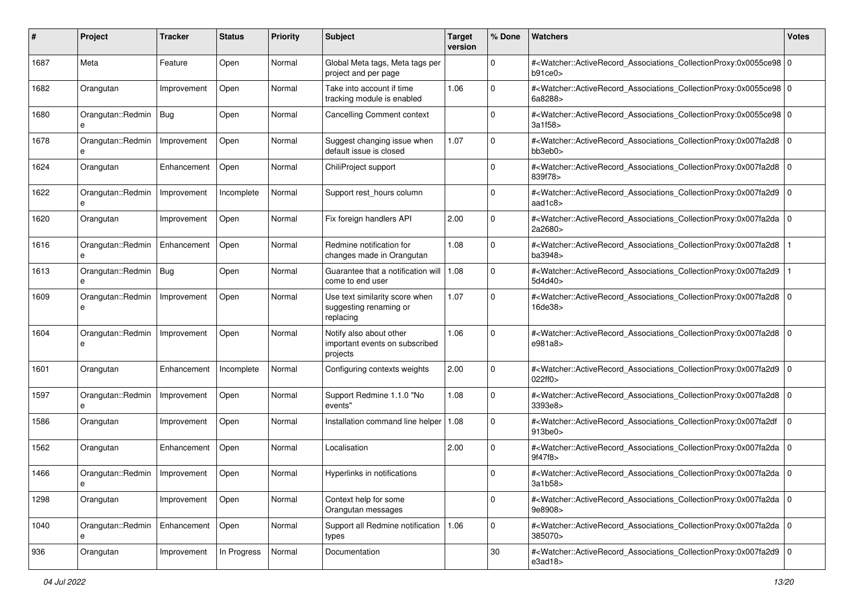| #    | Project                | <b>Tracker</b> | <b>Status</b> | <b>Priority</b> | <b>Subject</b>                                                        | <b>Target</b><br>version | % Done      | <b>Watchers</b>                                                                                                                                          | <b>Votes</b> |
|------|------------------------|----------------|---------------|-----------------|-----------------------------------------------------------------------|--------------------------|-------------|----------------------------------------------------------------------------------------------------------------------------------------------------------|--------------|
| 1687 | Meta                   | Feature        | Open          | Normal          | Global Meta tags, Meta tags per<br>project and per page               |                          | 0           | # <watcher::activerecord_associations_collectionproxy:0x0055ce98 0<br="">b91ce0</watcher::activerecord_associations_collectionproxy:0x0055ce98>          |              |
| 1682 | Orangutan              | Improvement    | Open          | Normal          | Take into account if time<br>tracking module is enabled               | 1.06                     | $\Omega$    | # <watcher::activerecord_associations_collectionproxy:0x0055ce98 0<br="">6a8288&gt;</watcher::activerecord_associations_collectionproxy:0x0055ce98>      |              |
| 1680 | Orangutan::Redmin<br>e | Bug            | Open          | Normal          | <b>Cancelling Comment context</b>                                     |                          | $\Omega$    | # <watcher::activerecord_associations_collectionproxy:0x0055ce98 0<br="">3a1f58&gt;</watcher::activerecord_associations_collectionproxy:0x0055ce98>      |              |
| 1678 | Orangutan::Redmin<br>e | Improvement    | Open          | Normal          | Suggest changing issue when<br>default issue is closed                | 1.07                     | $\Omega$    | # <watcher::activerecord_associations_collectionproxy:0x007fa2d8 0<br=""  ="">bb3eb0&gt;</watcher::activerecord_associations_collectionproxy:0x007fa2d8> |              |
| 1624 | Orangutan              | Enhancement    | Open          | Normal          | ChiliProject support                                                  |                          | $\Omega$    | # <watcher::activerecord_associations_collectionproxy:0x007fa2d8 0<br=""  ="">839f78&gt;</watcher::activerecord_associations_collectionproxy:0x007fa2d8> |              |
| 1622 | Orangutan::Redmin      | Improvement    | Incomplete    | Normal          | Support rest_hours column                                             |                          | $\Omega$    | # <watcher::activerecord_associations_collectionproxy:0x007fa2d9 0<br=""  ="">aad1c8&gt;</watcher::activerecord_associations_collectionproxy:0x007fa2d9> |              |
| 1620 | Orangutan              | Improvement    | Open          | Normal          | Fix foreign handlers API                                              | 2.00                     | $\mathbf 0$ | # <watcher::activerecord_associations_collectionproxy:0x007fa2da 0<br=""  ="">2a2680&gt;</watcher::activerecord_associations_collectionproxy:0x007fa2da> |              |
| 1616 | Orangutan::Redmin<br>e | Enhancement    | Open          | Normal          | Redmine notification for<br>changes made in Orangutan                 | 1.08                     | 0           | # <watcher::activerecord_associations_collectionproxy:0x007fa2d8<br>ba3948&gt;</watcher::activerecord_associations_collectionproxy:0x007fa2d8<br>        |              |
| 1613 | Orangutan::Redmin<br>e | Bug            | Open          | Normal          | Guarantee that a notification will<br>come to end user                | 1.08                     | $\Omega$    | # <watcher::activerecord_associations_collectionproxy:0x007fa2d9<br>5d4d40&gt;</watcher::activerecord_associations_collectionproxy:0x007fa2d9<br>        |              |
| 1609 | Orangutan::Redmin<br>e | Improvement    | Open          | Normal          | Use text similarity score when<br>suggesting renaming or<br>replacing | 1.07                     | 0           | # <watcher::activerecord_associations_collectionproxy:0x007fa2d8 0<br=""  ="">16de38&gt;</watcher::activerecord_associations_collectionproxy:0x007fa2d8> |              |
| 1604 | Orangutan::Redmin<br>e | Improvement    | Open          | Normal          | Notify also about other<br>important events on subscribed<br>projects | 1.06                     | 0           | # <watcher::activerecord_associations_collectionproxy:0x007fa2d8 0<br=""  ="">e981a8&gt;</watcher::activerecord_associations_collectionproxy:0x007fa2d8> |              |
| 1601 | Orangutan              | Enhancement    | Incomplete    | Normal          | Configuring contexts weights                                          | 2.00                     | $\Omega$    | # <watcher::activerecord_associations_collectionproxy:0x007fa2d9 0<br=""  ="">022ff0&gt;</watcher::activerecord_associations_collectionproxy:0x007fa2d9> |              |
| 1597 | Orangutan::Redmin<br>e | Improvement    | Open          | Normal          | Support Redmine 1.1.0 "No<br>events'                                  | 1.08                     | 0           | # <watcher::activerecord_associations_collectionproxy:0x007fa2d8 0<br="">3393e8&gt;</watcher::activerecord_associations_collectionproxy:0x007fa2d8>      |              |
| 1586 | Orangutan              | Improvement    | Open          | Normal          | Installation command line helper   1.08                               |                          | $\mathbf 0$ | # <watcher::activerecord_associations_collectionproxy:0x007fa2df<br>913be0&gt;</watcher::activerecord_associations_collectionproxy:0x007fa2df<br>        | $\mathbf 0$  |
| 1562 | Orangutan              | Enhancement    | Open          | Normal          | Localisation                                                          | 2.00                     | $\Omega$    | # <watcher::activerecord_associations_collectionproxy:0x007fa2da 0<br=""  ="">9f47f8&gt;</watcher::activerecord_associations_collectionproxy:0x007fa2da> |              |
| 1466 | Orangutan::Redmin<br>е | Improvement    | Open          | Normal          | Hyperlinks in notifications                                           |                          | $\Omega$    | # <watcher::activerecord_associations_collectionproxy:0x007fa2da 0<br=""  ="">3a1b58&gt;</watcher::activerecord_associations_collectionproxy:0x007fa2da> |              |
| 1298 | Orangutan              | Improvement    | Open          | Normal          | Context help for some<br>Orangutan messages                           |                          | 0           | # <watcher::activerecord_associations_collectionproxy:0x007fa2da 0<br=""  ="">9e8908&gt;</watcher::activerecord_associations_collectionproxy:0x007fa2da> |              |
| 1040 | Orangutan::Redmin<br>e | Enhancement    | Open          | Normal          | Support all Redmine notification<br>types                             | 1.06                     | $\mathbf 0$ | # <watcher::activerecord_associations_collectionproxy:0x007fa2da 0<br="">385070&gt;</watcher::activerecord_associations_collectionproxy:0x007fa2da>      |              |
| 936  | Orangutan              | Improvement    | In Progress   | Normal          | Documentation                                                         |                          | $30\,$      | # <watcher::activerecord_associations_collectionproxy:0x007fa2d9 0<br=""  ="">e3ad18&gt;</watcher::activerecord_associations_collectionproxy:0x007fa2d9> |              |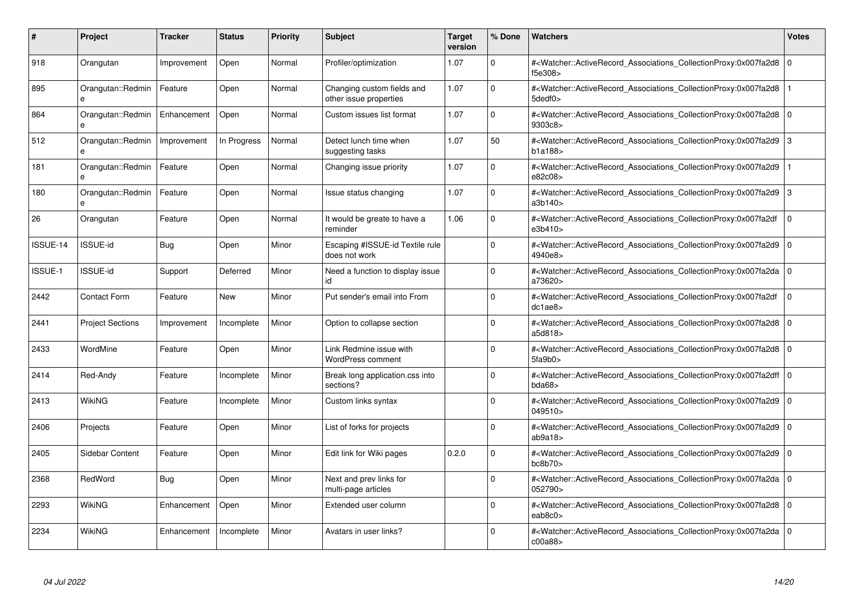| #              | Project                 | <b>Tracker</b> | <b>Status</b> | <b>Priority</b> | <b>Subject</b>                                       | <b>Target</b><br>version | % Done   | <b>Watchers</b>                                                                                                                                          | <b>Votes</b> |
|----------------|-------------------------|----------------|---------------|-----------------|------------------------------------------------------|--------------------------|----------|----------------------------------------------------------------------------------------------------------------------------------------------------------|--------------|
| 918            | Orangutan               | Improvement    | Open          | Normal          | Profiler/optimization                                | 1.07                     | $\Omega$ | # <watcher::activerecord_associations_collectionproxy:0x007fa2d8  <br="">f5e308&gt;</watcher::activerecord_associations_collectionproxy:0x007fa2d8>      | $\Omega$     |
| 895            | Orangutan::Redmin<br>e  | Feature        | Open          | Normal          | Changing custom fields and<br>other issue properties | 1.07                     | $\Omega$ | # <watcher::activerecord associations="" collectionproxy:0x007fa2d8<br="">5dedf0&gt;</watcher::activerecord>                                             |              |
| 864            | Orangutan::Redmin<br>e  | Enhancement    | Open          | Normal          | Custom issues list format                            | 1.07                     | $\Omega$ | # <watcher::activerecord_associations_collectionproxy:0x007fa2d8  <br="">9303c8&gt;</watcher::activerecord_associations_collectionproxy:0x007fa2d8>      | $\mathbf 0$  |
| 512            | Orangutan::Redmin<br>e  | Improvement    | In Progress   | Normal          | Detect lunch time when<br>suggesting tasks           | 1.07                     | 50       | # <watcher::activerecord_associations_collectionproxy:0x007fa2d9  <br="">b1a188&gt;</watcher::activerecord_associations_collectionproxy:0x007fa2d9>      | 3            |
| 181            | Orangutan::Redmin       | Feature        | Open          | Normal          | Changing issue priority                              | 1.07                     | $\Omega$ | # <watcher::activerecord associations="" collectionproxy:0x007fa2d9<br="">e82c08&gt;</watcher::activerecord>                                             |              |
| 180            | Orangutan::Redmin<br>e  | Feature        | Open          | Normal          | Issue status changing                                | 1.07                     | $\Omega$ | # <watcher::activerecord associations="" collectionproxy:0x007fa2d9<br="">a3b140&gt;</watcher::activerecord>                                             | 3            |
| 26             | Orangutan               | Feature        | Open          | Normal          | It would be greate to have a<br>reminder             | 1.06                     | $\Omega$ | # <watcher::activerecord_associations_collectionproxy:0x007fa2df<br>e3b410&gt;</watcher::activerecord_associations_collectionproxy:0x007fa2df<br>        | $\mathbf 0$  |
| ISSUE-14       | <b>ISSUE-id</b>         | Bug            | Open          | Minor           | Escaping #ISSUE-id Textile rule<br>does not work     |                          | $\Omega$ | # <watcher::activerecord associations="" collectionproxy:0x007fa2d9<br="">4940e8&gt;</watcher::activerecord>                                             | $\Omega$     |
| <b>ISSUE-1</b> | <b>ISSUE-id</b>         | Support        | Deferred      | Minor           | Need a function to display issue<br>id               |                          | $\Omega$ | # <watcher::activerecord 0<br="" associations="" collectionproxy:0x007fa2da=""  ="">a73620&gt;</watcher::activerecord>                                   |              |
| 2442           | <b>Contact Form</b>     | Feature        | <b>New</b>    | Minor           | Put sender's email into From                         |                          | $\Omega$ | # <watcher::activerecord associations="" collectionproxy:0x007fa2df<br="">dc1ae8</watcher::activerecord>                                                 | $\mathbf 0$  |
| 2441           | <b>Project Sections</b> | Improvement    | Incomplete    | Minor           | Option to collapse section                           |                          | $\Omega$ | # <watcher::activerecord_associations_collectionproxy:0x007fa2d8 0<br=""  ="">a5d818&gt;</watcher::activerecord_associations_collectionproxy:0x007fa2d8> |              |
| 2433           | WordMine                | Feature        | Open          | Minor           | Link Redmine issue with<br><b>WordPress comment</b>  |                          | $\Omega$ | # <watcher::activerecord_associations_collectionproxy:0x007fa2d8 0<br=""  ="">5fa9b0&gt;</watcher::activerecord_associations_collectionproxy:0x007fa2d8> |              |
| 2414           | Red-Andy                | Feature        | Incomplete    | Minor           | Break long application.css into<br>sections?         |                          | $\Omega$ | # <watcher::activerecord 0<br="" associations="" collectionproxy:0x007fa2dff=""  ="">bda68</watcher::activerecord>                                       |              |
| 2413           | WikiNG                  | Feature        | Incomplete    | Minor           | Custom links syntax                                  |                          | $\Omega$ | # <watcher::activerecord_associations_collectionproxy:0x007fa2d9<br>049510&gt;</watcher::activerecord_associations_collectionproxy:0x007fa2d9<br>        | $\mathbf 0$  |
| 2406           | Projects                | Feature        | Open          | Minor           | List of forks for projects                           |                          | $\Omega$ | # <watcher::activerecord_associations_collectionproxy:0x007fa2d9 0<br=""  ="">ab9a18</watcher::activerecord_associations_collectionproxy:0x007fa2d9>     |              |
| 2405           | Sidebar Content         | Feature        | Open          | Minor           | Edit link for Wiki pages                             | 0.2.0                    | $\Omega$ | # <watcher::activerecord associations="" collectionproxy:0x007fa2d9<br="">bc8b70</watcher::activerecord>                                                 | $\mathbf 0$  |
| 2368           | RedWord                 | Bug            | Open          | Minor           | Next and prev links for<br>multi-page articles       |                          | $\Omega$ | # <watcher::activerecord 0<br="" associations="" collectionproxy:0x007fa2da=""  ="">052790&gt;</watcher::activerecord>                                   |              |
| 2293           | WikiNG                  | Enhancement    | Open          | Minor           | Extended user column                                 |                          | $\Omega$ | # <watcher::activerecord associations="" collectionproxy:0x007fa2d8<br="">eab8<math>c0</math></watcher::activerecord>                                    | $\mathbf 0$  |
| 2234           | WikiNG                  | Enhancement    | Incomplete    | Minor           | Avatars in user links?                               |                          | $\Omega$ | # <watcher::activerecord_associations_collectionproxy:0x007fa2da 0<br=""  ="">c00a88</watcher::activerecord_associations_collectionproxy:0x007fa2da>     |              |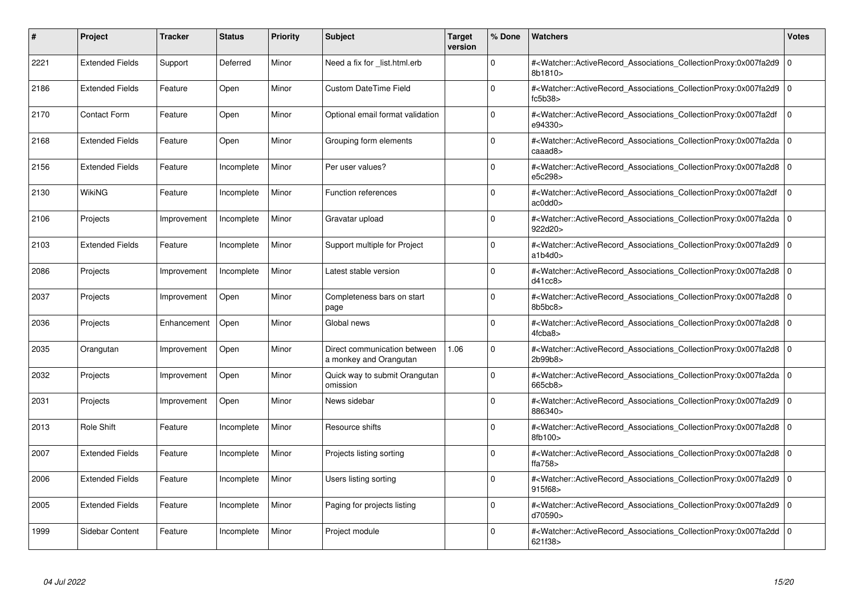| #    | <b>Project</b>         | <b>Tracker</b> | <b>Status</b> | <b>Priority</b> | <b>Subject</b>                                         | <b>Target</b><br>version | % Done      | <b>Watchers</b>                                                                                                                                          | <b>Votes</b> |
|------|------------------------|----------------|---------------|-----------------|--------------------------------------------------------|--------------------------|-------------|----------------------------------------------------------------------------------------------------------------------------------------------------------|--------------|
| 2221 | <b>Extended Fields</b> | Support        | Deferred      | Minor           | Need a fix for list.html.erb                           |                          | $\Omega$    | # <watcher::activerecord associations="" collectionproxy:0x007fa2d9<br="">8b1810&gt;</watcher::activerecord>                                             | $\mathbf 0$  |
| 2186 | <b>Extended Fields</b> | Feature        | Open          | Minor           | Custom DateTime Field                                  |                          | $\mathbf 0$ | # <watcher::activerecord_associations_collectionproxy:0x007fa2d9 0<br=""  ="">fc5b38&gt;</watcher::activerecord_associations_collectionproxy:0x007fa2d9> |              |
| 2170 | <b>Contact Form</b>    | Feature        | Open          | Minor           | Optional email format validation                       |                          | $\Omega$    | # <watcher::activerecord associations="" collectionproxy:0x007fa2df<br="">e94330&gt;</watcher::activerecord>                                             | $\Omega$     |
| 2168 | <b>Extended Fields</b> | Feature        | Open          | Minor           | Grouping form elements                                 |                          | $\Omega$    | # <watcher::activerecord 0<br="" associations="" collectionproxy:0x007fa2da=""  ="">caaad8&gt;</watcher::activerecord>                                   |              |
| 2156 | <b>Extended Fields</b> | Feature        | Incomplete    | Minor           | Per user values?                                       |                          | $\Omega$    | # <watcher::activerecord associations="" collectionproxy:0x007fa2d8<br="">e5c298&gt;</watcher::activerecord>                                             | l O          |
| 2130 | WikiNG                 | Feature        | Incomplete    | Minor           | Function references                                    |                          | $\Omega$    | # <watcher::activerecord associations="" collectionproxy:0x007fa2df<br="">ac0dd0</watcher::activerecord>                                                 | $\Omega$     |
| 2106 | Projects               | Improvement    | Incomplete    | Minor           | Gravatar upload                                        |                          | $\Omega$    | # <watcher::activerecord_associations_collectionproxy:0x007fa2da 0<br=""  ="">922d20&gt;</watcher::activerecord_associations_collectionproxy:0x007fa2da> |              |
| 2103 | <b>Extended Fields</b> | Feature        | Incomplete    | Minor           | Support multiple for Project                           |                          | $\Omega$    | # <watcher::activerecord 0<br="" associations="" collectionproxy:0x007fa2d9=""  ="">a1b4d0</watcher::activerecord>                                       |              |
| 2086 | Projects               | Improvement    | Incomplete    | Minor           | Latest stable version                                  |                          | $\Omega$    | # <watcher::activerecord_associations_collectionproxy:0x007fa2d8 0<br=""  ="">d41cc8</watcher::activerecord_associations_collectionproxy:0x007fa2d8>     |              |
| 2037 | Projects               | Improvement    | Open          | Minor           | Completeness bars on start<br>page                     |                          | $\Omega$    | # <watcher::activerecord_associations_collectionproxy:0x007fa2d8 0<br=""  ="">8b5bc8</watcher::activerecord_associations_collectionproxy:0x007fa2d8>     |              |
| 2036 | Projects               | Enhancement    | Open          | Minor           | Global news                                            |                          | $\Omega$    | # <watcher::activerecord 0<br="" associations="" collectionproxy:0x007fa2d8=""  ="">4fcba8&gt;</watcher::activerecord>                                   |              |
| 2035 | Orangutan              | Improvement    | Open          | Minor           | Direct communication between<br>a monkey and Orangutan | 1.06                     | $\Omega$    | # <watcher::activerecord_associations_collectionproxy:0x007fa2d8 0<br=""  ="">2b99b8&gt;</watcher::activerecord_associations_collectionproxy:0x007fa2d8> |              |
| 2032 | Projects               | Improvement    | Open          | Minor           | Quick way to submit Orangutan<br>omission              |                          | $\Omega$    | # <watcher::activerecord 0<br="" associations="" collectionproxy:0x007fa2da=""  ="">665cb8&gt;</watcher::activerecord>                                   |              |
| 2031 | Projects               | Improvement    | Open          | Minor           | News sidebar                                           |                          | $\mathbf 0$ | # <watcher::activerecord_associations_collectionproxy:0x007fa2d9 0<br=""  ="">886340&gt;</watcher::activerecord_associations_collectionproxy:0x007fa2d9> |              |
| 2013 | Role Shift             | Feature        | Incomplete    | Minor           | Resource shifts                                        |                          | 0           | # <watcher::activerecord_associations_collectionproxy:0x007fa2d8 0<br=""  ="">8fb100&gt;</watcher::activerecord_associations_collectionproxy:0x007fa2d8> |              |
| 2007 | <b>Extended Fields</b> | Feature        | Incomplete    | Minor           | Projects listing sorting                               |                          | 0           | # <watcher::activerecord 0<br="" associations="" collectionproxy:0x007fa2d8=""  =""><math>\text{fta758}</math></watcher::activerecord>                   |              |
| 2006 | <b>Extended Fields</b> | Feature        | Incomplete    | Minor           | Users listing sorting                                  |                          | $\Omega$    | # <watcher::activerecord 0<br="" associations="" collectionproxy:0x007fa2d9=""  ="">915f68&gt;</watcher::activerecord>                                   |              |
| 2005 | <b>Extended Fields</b> | Feature        | Incomplete    | Minor           | Paging for projects listing                            |                          | $\mathbf 0$ | # <watcher::activerecord 0<br="" associations="" collectionproxy:0x007fa2d9=""  ="">d70590&gt;</watcher::activerecord>                                   |              |
| 1999 | Sidebar Content        | Feature        | Incomplete    | Minor           | Project module                                         |                          | $\Omega$    | # <watcher::activerecord 0<br="" associations="" collectionproxy:0x007fa2dd=""  ="">621f38&gt;</watcher::activerecord>                                   |              |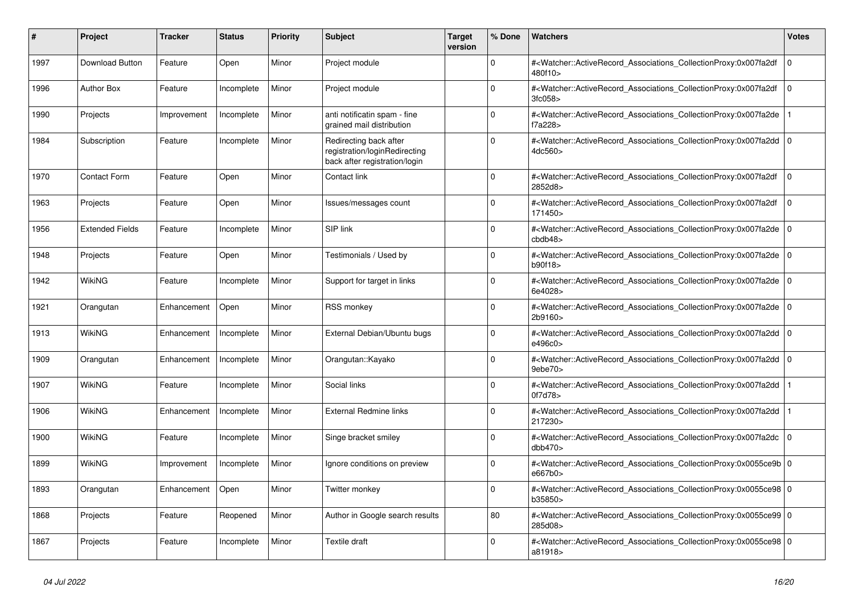| #    | <b>Project</b>         | <b>Tracker</b> | <b>Status</b> | <b>Priority</b> | <b>Subject</b>                                                                           | Target<br>version | % Done      | <b>Watchers</b>                                                                                                                                          | Votes          |
|------|------------------------|----------------|---------------|-----------------|------------------------------------------------------------------------------------------|-------------------|-------------|----------------------------------------------------------------------------------------------------------------------------------------------------------|----------------|
| 1997 | Download Button        | Feature        | Open          | Minor           | Project module                                                                           |                   | $\Omega$    | # <watcher::activerecord_associations_collectionproxy:0x007fa2df<br>480f10&gt;</watcher::activerecord_associations_collectionproxy:0x007fa2df<br>        | $\mathbf 0$    |
| 1996 | <b>Author Box</b>      | Feature        | Incomplete    | Minor           | Project module                                                                           |                   | $\Omega$    | # <watcher::activerecord_associations_collectionproxy:0x007fa2df<br>3fc058</watcher::activerecord_associations_collectionproxy:0x007fa2df<br>            | $\Omega$       |
| 1990 | Projects               | Improvement    | Incomplete    | Minor           | anti notificatin spam - fine<br>grained mail distribution                                |                   | U           | # <watcher::activerecord associations="" collectionproxy:0x007fa2de<br="">f7a228&gt;</watcher::activerecord>                                             |                |
| 1984 | Subscription           | Feature        | Incomplete    | Minor           | Redirecting back after<br>registration/loginRedirecting<br>back after registration/login |                   | $\Omega$    | # <watcher::activerecord_associations_collectionproxy:0x007fa2dd<br>4dc560&gt;</watcher::activerecord_associations_collectionproxy:0x007fa2dd<br>        | l O            |
| 1970 | <b>Contact Form</b>    | Feature        | Open          | Minor           | Contact link                                                                             |                   | 0           | # <watcher::activerecord associations="" collectionproxy:0x007fa2df<br="">2852d8&gt;</watcher::activerecord>                                             | $\Omega$       |
| 1963 | Projects               | Feature        | Open          | Minor           | Issues/messages count                                                                    |                   | $\Omega$    | # <watcher::activerecord_associations_collectionproxy:0x007fa2df<br>171450&gt;</watcher::activerecord_associations_collectionproxy:0x007fa2df<br>        | $\mathbf 0$    |
| 1956 | <b>Extended Fields</b> | Feature        | Incomplete    | Minor           | SIP link                                                                                 |                   | $\Omega$    | # <watcher::activerecord_associations_collectionproxy:0x007fa2de<br>cbdb48</watcher::activerecord_associations_collectionproxy:0x007fa2de<br>            | $\overline{0}$ |
| 1948 | Projects               | Feature        | Open          | Minor           | Testimonials / Used by                                                                   |                   | $\Omega$    | # <watcher::activerecord_associations_collectionproxy:0x007fa2de 0<br=""  ="">b90f18&gt;</watcher::activerecord_associations_collectionproxy:0x007fa2de> |                |
| 1942 | WikiNG                 | Feature        | Incomplete    | Minor           | Support for target in links                                                              |                   | $\Omega$    | # <watcher::activerecord associations="" collectionproxy:0x007fa2de<br="">6e4028&gt;</watcher::activerecord>                                             | $\overline{0}$ |
| 1921 | Orangutan              | Enhancement    | Open          | Minor           | <b>RSS monkey</b>                                                                        |                   | $\Omega$    | # <watcher::activerecord_associations_collectionproxy:0x007fa2de<br>2b9160&gt;</watcher::activerecord_associations_collectionproxy:0x007fa2de<br>        | l O            |
| 1913 | <b>WikiNG</b>          | Enhancement    | Incomplete    | Minor           | External Debian/Ubuntu bugs                                                              |                   | $\Omega$    | # <watcher::activerecord 0<br="" associations="" collectionproxy:0x007fa2dd=""  ="">e496c0&gt;</watcher::activerecord>                                   |                |
| 1909 | Orangutan              | Enhancement    | Incomplete    | Minor           | Orangutan::Kayako                                                                        |                   | $\Omega$    | # <watcher::activerecord associations="" collectionproxy:0x007fa2dd<br="">9ebe70&gt;</watcher::activerecord>                                             | ۱٥             |
| 1907 | WikiNG                 | Feature        | Incomplete    | Minor           | Social links                                                                             |                   | $\Omega$    | # <watcher::activerecord_associations_collectionproxy:0x007fa2dd<br>0f7d78&gt;</watcher::activerecord_associations_collectionproxy:0x007fa2dd<br>        |                |
| 1906 | <b>WikiNG</b>          | Enhancement    | Incomplete    | Minor           | <b>External Redmine links</b>                                                            |                   | $\Omega$    | # <watcher::activerecord associations="" collectionproxy:0x007fa2dd<br="">217230&gt;</watcher::activerecord>                                             |                |
| 1900 | <b>WikiNG</b>          | Feature        | Incomplete    | Minor           | Singe bracket smiley                                                                     |                   | $\mathbf 0$ | # <watcher::activerecord associations="" collectionproxy:0x007fa2dc<br="">dbb470</watcher::activerecord>                                                 | l 0            |
| 1899 | WikiNG                 | Improvement    | Incomplete    | Minor           | Ignore conditions on preview                                                             |                   | $\Omega$    | # <watcher::activerecord_associations_collectionproxy:0x0055ce9b 0<br="">e667b0&gt;</watcher::activerecord_associations_collectionproxy:0x0055ce9b>      |                |
| 1893 | Orangutan              | Enhancement    | Open          | Minor           | Twitter monkey                                                                           |                   | $\Omega$    | # <watcher::activerecord 0<br="" associations="" collectionproxy:0x0055ce98=""  ="">b35850&gt;</watcher::activerecord>                                   |                |
| 1868 | Projects               | Feature        | Reopened      | Minor           | Author in Google search results                                                          |                   | 80          | # <watcher::activerecord_associations_collectionproxy:0x0055ce99 0<br=""  ="">285d08&gt;</watcher::activerecord_associations_collectionproxy:0x0055ce99> |                |
| 1867 | Projects               | Feature        | Incomplete    | Minor           | Textile draft                                                                            |                   | $\Omega$    | # <watcher::activerecord_associations_collectionproxy:0x0055ce98 0<br=""  ="">a81918&gt;</watcher::activerecord_associations_collectionproxy:0x0055ce98> |                |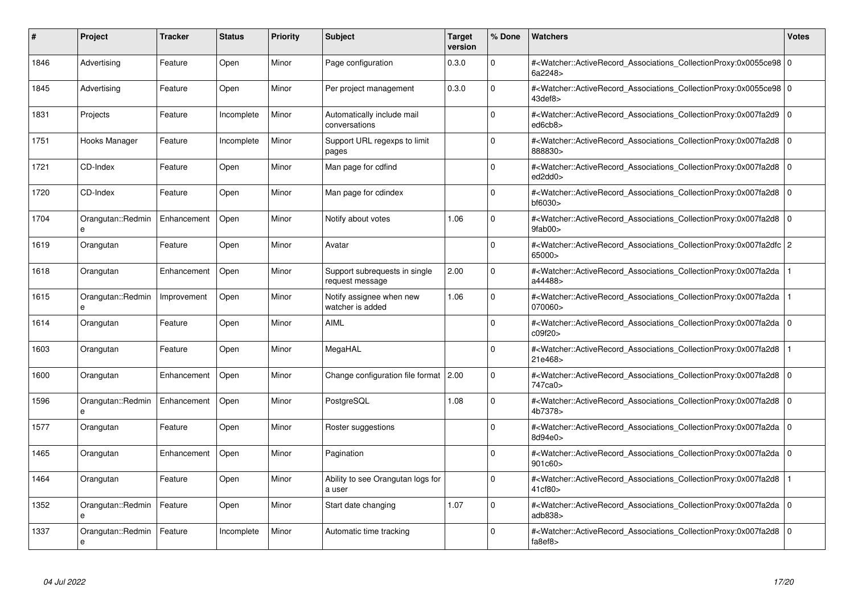| #    | Project                | <b>Tracker</b> | <b>Status</b> | <b>Priority</b> | <b>Subject</b>                                   | <b>Target</b><br>version | % Done      | <b>Watchers</b>                                                                                                                                          | <b>Votes</b> |
|------|------------------------|----------------|---------------|-----------------|--------------------------------------------------|--------------------------|-------------|----------------------------------------------------------------------------------------------------------------------------------------------------------|--------------|
| 1846 | Advertising            | Feature        | Open          | Minor           | Page configuration                               | 0.3.0                    | $\Omega$    | # <watcher::activerecord_associations_collectionproxy:0x0055ce98 0<br=""  ="">6a2248&gt;</watcher::activerecord_associations_collectionproxy:0x0055ce98> |              |
| 1845 | Advertising            | Feature        | Open          | Minor           | Per project management                           | 0.3.0                    | $\Omega$    | # <watcher::activerecord_associations_collectionproxy:0x0055ce98 0<br="">43def8&gt;</watcher::activerecord_associations_collectionproxy:0x0055ce98>      |              |
| 1831 | Projects               | Feature        | Incomplete    | Minor           | Automatically include mail<br>conversations      |                          | $\Omega$    | # <watcher::activerecord associations="" collectionproxy:0x007fa2d9<br="">ed6cb8&gt;</watcher::activerecord>                                             | $\mathbf 0$  |
| 1751 | Hooks Manager          | Feature        | Incomplete    | Minor           | Support URL regexps to limit<br>pages            |                          | $\Omega$    | # <watcher::activerecord_associations_collectionproxy:0x007fa2d8 0<br=""  ="">888830&gt;</watcher::activerecord_associations_collectionproxy:0x007fa2d8> |              |
| 1721 | CD-Index               | Feature        | Open          | Minor           | Man page for cdfind                              |                          | $\Omega$    | # <watcher::activerecord associations="" collectionproxy:0x007fa2d8<br="">ed2dd0&gt;</watcher::activerecord>                                             | $\mathbf 0$  |
| 1720 | CD-Index               | Feature        | Open          | Minor           | Man page for cdindex                             |                          | $\Omega$    | # <watcher::activerecord associations="" collectionproxy:0x007fa2d8<br=""><math>b</math>f6030<math>&gt;</math></watcher::activerecord>                   | $\mathbf 0$  |
| 1704 | Orangutan::Redmin      | Enhancement    | Open          | Minor           | Notify about votes                               | 1.06                     | $\Omega$    | # <watcher::activerecord_associations_collectionproxy:0x007fa2d8 0<br=""  ="">9fab00&gt;</watcher::activerecord_associations_collectionproxy:0x007fa2d8> |              |
| 1619 | Orangutan              | Feature        | Open          | Minor           | Avatar                                           |                          | $\Omega$    | # <watcher::activerecord_associations_collectionproxy:0x007fa2dfc 2<br="">65000&gt;</watcher::activerecord_associations_collectionproxy:0x007fa2dfc>     |              |
| 1618 | Orangutan              | Enhancement    | Open          | Minor           | Support subrequests in single<br>request message | 2.00                     | $\Omega$    | # <watcher::activerecord associations="" collectionproxy:0x007fa2da<br="">a44488&gt;</watcher::activerecord>                                             |              |
| 1615 | Orangutan::Redmin<br>e | Improvement    | Open          | Minor           | Notify assignee when new<br>watcher is added     | 1.06                     | $\Omega$    | # <watcher::activerecord associations="" collectionproxy:0x007fa2da<br="">070060&gt;</watcher::activerecord>                                             |              |
| 1614 | Orangutan              | Feature        | Open          | Minor           | <b>AIML</b>                                      |                          | $\Omega$    | # <watcher::activerecord_associations_collectionproxy:0x007fa2da 0<br=""  ="">c09f20&gt;</watcher::activerecord_associations_collectionproxy:0x007fa2da> |              |
| 1603 | Orangutan              | Feature        | Open          | Minor           | MegaHAL                                          |                          | $\Omega$    | # <watcher::activerecord_associations_collectionproxy:0x007fa2d8<br>21e468&gt;</watcher::activerecord_associations_collectionproxy:0x007fa2d8<br>        |              |
| 1600 | Orangutan              | Enhancement    | Open          | Minor           | Change configuration file format                 | 2.00                     | $\mathbf 0$ | # <watcher::activerecord 0<br="" associations="" collectionproxy:0x007fa2d8=""  ="">747ca0&gt;</watcher::activerecord>                                   |              |
| 1596 | Orangutan::Redmin<br>e | Enhancement    | Open          | Minor           | PostgreSQL                                       | 1.08                     | $\mathbf 0$ | # <watcher::activerecord_associations_collectionproxy:0x007fa2d8  <br="">4b7378&gt;</watcher::activerecord_associations_collectionproxy:0x007fa2d8>      | $\mathbf 0$  |
| 1577 | Orangutan              | Feature        | Open          | Minor           | Roster suggestions                               |                          | $\Omega$    | # <watcher::activerecord_associations_collectionproxy:0x007fa2da 0<br=""  ="">8d94e0&gt;</watcher::activerecord_associations_collectionproxy:0x007fa2da> |              |
| 1465 | Orangutan              | Enhancement    | Open          | Minor           | Pagination                                       |                          | $\Omega$    | # <watcher::activerecord 0<br="" associations="" collectionproxy:0x007fa2da=""  ="">901c60</watcher::activerecord>                                       |              |
| 1464 | Orangutan              | Feature        | Open          | Minor           | Ability to see Orangutan logs for<br>a user      |                          | $\mathbf 0$ | # <watcher::activerecord associations="" collectionproxy:0x007fa2d8<br="">41cf80&gt;</watcher::activerecord>                                             |              |
| 1352 | Orangutan::Redmin<br>e | Feature        | Open          | Minor           | Start date changing                              | 1.07                     | $\Omega$    | # <watcher::activerecord associations="" collectionproxy:0x007fa2da=""  <br="">adb838&gt;</watcher::activerecord>                                        | $\mathbf 0$  |
| 1337 | Orangutan::Redmin<br>e | Feature        | Incomplete    | Minor           | Automatic time tracking                          |                          | $\Omega$    | # <watcher::activerecord_associations_collectionproxy:0x007fa2d8 0<br=""  ="">fa8ef8&gt;</watcher::activerecord_associations_collectionproxy:0x007fa2d8> |              |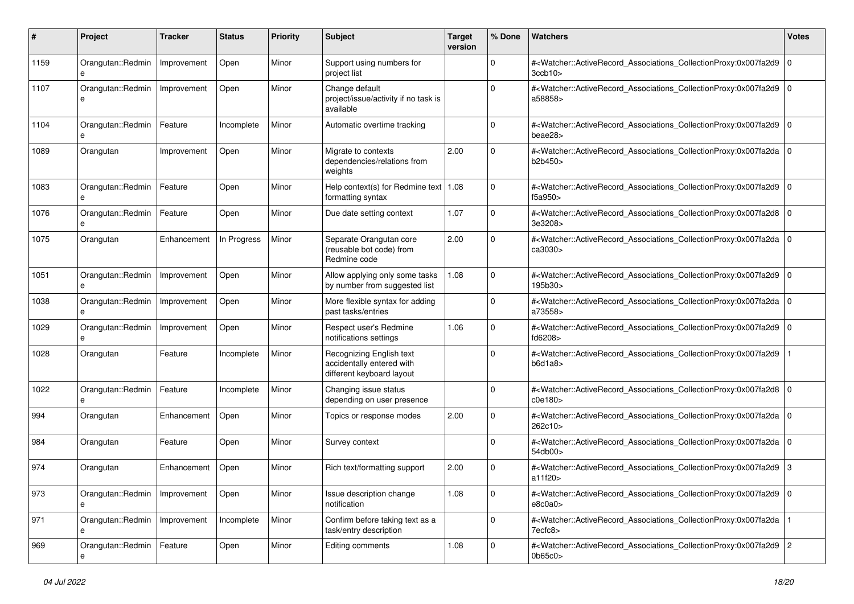| #    | Project                | <b>Tracker</b> | <b>Status</b> | <b>Priority</b> | <b>Subject</b>                                                                     | <b>Target</b><br>version | % Done      | Watchers                                                                                                                                                                  | <b>Votes</b> |
|------|------------------------|----------------|---------------|-----------------|------------------------------------------------------------------------------------|--------------------------|-------------|---------------------------------------------------------------------------------------------------------------------------------------------------------------------------|--------------|
| 1159 | Orangutan::Redmin<br>e | Improvement    | Open          | Minor           | Support using numbers for<br>project list                                          |                          | $\mathbf 0$ | # <watcher::activerecord_associations_collectionproxy:0x007fa2d9  <br=""><math>3</math>ccb<math>10</math></watcher::activerecord_associations_collectionproxy:0x007fa2d9> | $\mathbf 0$  |
| 1107 | Orangutan::Redmin<br>e | Improvement    | Open          | Minor           | Change default<br>project/issue/activity if no task is<br>available                |                          | $\Omega$    | # <watcher::activerecord_associations_collectionproxy:0x007fa2d9 0<br=""  ="">a58858&gt;</watcher::activerecord_associations_collectionproxy:0x007fa2d9>                  |              |
| 1104 | Orangutan::Redmin      | Feature        | Incomplete    | Minor           | Automatic overtime tracking                                                        |                          | $\Omega$    | # <watcher::activerecord_associations_collectionproxy:0x007fa2d9 0<br=""  ="">beae28&gt;</watcher::activerecord_associations_collectionproxy:0x007fa2d9>                  |              |
| 1089 | Orangutan              | Improvement    | Open          | Minor           | Migrate to contexts<br>dependencies/relations from<br>weights                      | 2.00                     | $\Omega$    | # <watcher::activerecord_associations_collectionproxy:0x007fa2da 0<br="">b2b450&gt;</watcher::activerecord_associations_collectionproxy:0x007fa2da>                       |              |
| 1083 | Orangutan::Redmin<br>e | Feature        | Open          | Minor           | Help context(s) for Redmine text   $1.08$<br>formatting syntax                     |                          | $\Omega$    | # <watcher::activerecord_associations_collectionproxy:0x007fa2d9  <br="">f5a950&gt;</watcher::activerecord_associations_collectionproxy:0x007fa2d9>                       | $\mathbf 0$  |
| 1076 | Orangutan::Redmin<br>e | Feature        | Open          | Minor           | Due date setting context                                                           | 1.07                     | $\Omega$    | # <watcher::activerecord_associations_collectionproxy:0x007fa2d8 0<br=""  ="">3e3208&gt;</watcher::activerecord_associations_collectionproxy:0x007fa2d8>                  |              |
| 1075 | Orangutan              | Enhancement    | In Progress   | Minor           | Separate Orangutan core<br>(reusable bot code) from<br>Redmine code                | 2.00                     | $\Omega$    | # <watcher::activerecord_associations_collectionproxy:0x007fa2da 0<br=""  ="">ca3030&gt;</watcher::activerecord_associations_collectionproxy:0x007fa2da>                  |              |
| 1051 | Orangutan::Redmin<br>e | Improvement    | Open          | Minor           | Allow applying only some tasks<br>by number from suggested list                    | 1.08                     | $\Omega$    | # <watcher::activerecord_associations_collectionproxy:0x007fa2d9 0<br=""  ="">195b30&gt;</watcher::activerecord_associations_collectionproxy:0x007fa2d9>                  |              |
| 1038 | Orangutan::Redmin<br>e | Improvement    | Open          | Minor           | More flexible syntax for adding<br>past tasks/entries                              |                          | $\Omega$    | # <watcher::activerecord_associations_collectionproxy:0x007fa2da 0<br="">a73558&gt;</watcher::activerecord_associations_collectionproxy:0x007fa2da>                       |              |
| 1029 | Orangutan::Redmin      | Improvement    | Open          | Minor           | Respect user's Redmine<br>notifications settings                                   | 1.06                     | $\Omega$    | # <watcher::activerecord_associations_collectionproxy:0x007fa2d9 0<br=""  ="">fd6208&gt;</watcher::activerecord_associations_collectionproxy:0x007fa2d9>                  |              |
| 1028 | Orangutan              | Feature        | Incomplete    | Minor           | Recognizing English text<br>accidentally entered with<br>different keyboard layout |                          | $\Omega$    | # <watcher::activerecord_associations_collectionproxy:0x007fa2d9<br>b6d1a8</watcher::activerecord_associations_collectionproxy:0x007fa2d9<br>                             |              |
| 1022 | Orangutan::Redmin<br>e | Feature        | Incomplete    | Minor           | Changing issue status<br>depending on user presence                                |                          | $\mathbf 0$ | # <watcher::activerecord_associations_collectionproxy:0x007fa2d8 0<br=""  ="">c0e180</watcher::activerecord_associations_collectionproxy:0x007fa2d8>                      |              |
| 994  | Orangutan              | Enhancement    | Open          | Minor           | Topics or response modes                                                           | 2.00                     | $\mathbf 0$ | # <watcher::activerecord_associations_collectionproxy:0x007fa2da 0<br=""  ="">262c10&gt;</watcher::activerecord_associations_collectionproxy:0x007fa2da>                  |              |
| 984  | Orangutan              | Feature        | Open          | Minor           | Survey context                                                                     |                          | $\Omega$    | # <watcher::activerecord_associations_collectionproxy:0x007fa2da 0<br="">54db00&gt;</watcher::activerecord_associations_collectionproxy:0x007fa2da>                       |              |
| 974  | Orangutan              | Enhancement    | Open          | Minor           | Rich text/formatting support                                                       | 2.00                     | $\Omega$    | # <watcher::activerecord_associations_collectionproxy:0x007fa2d9  <br="">a11f20&gt;</watcher::activerecord_associations_collectionproxy:0x007fa2d9>                       | 3            |
| 973  | Orangutan::Redmin<br>e | Improvement    | Open          | Minor           | Issue description change<br>notification                                           | 1.08                     | 0           | # <watcher::activerecord_associations_collectionproxy:0x007fa2d9 0<br=""  ="">e8c0a0&gt;</watcher::activerecord_associations_collectionproxy:0x007fa2d9>                  |              |
| 971  | Orangutan::Redmin      | Improvement    | Incomplete    | Minor           | Confirm before taking text as a<br>task/entry description                          |                          | $\mathbf 0$ | # <watcher::activerecord_associations_collectionproxy:0x007fa2da  <br="">7ecfc8&gt;</watcher::activerecord_associations_collectionproxy:0x007fa2da>                       |              |
| 969  | Orangutan::Redmin<br>е | Feature        | Open          | Minor           | Editing comments                                                                   | 1.08                     | $\mathbf 0$ | # <watcher::activerecord_associations_collectionproxy:0x007fa2d9 2<br="">0b65c0&gt;</watcher::activerecord_associations_collectionproxy:0x007fa2d9>                       |              |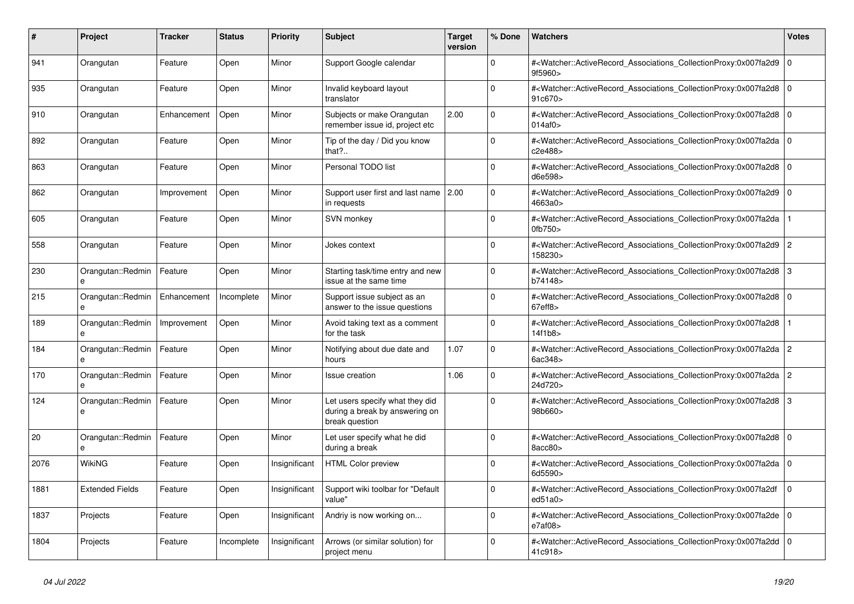| #    | <b>Project</b>         | <b>Tracker</b> | <b>Status</b> | <b>Priority</b> | <b>Subject</b>                                                                      | <b>Target</b><br>version | % Done   | <b>Watchers</b>                                                                                                                                          | <b>Votes</b> |
|------|------------------------|----------------|---------------|-----------------|-------------------------------------------------------------------------------------|--------------------------|----------|----------------------------------------------------------------------------------------------------------------------------------------------------------|--------------|
| 941  | Orangutan              | Feature        | Open          | Minor           | Support Google calendar                                                             |                          | $\Omega$ | # <watcher::activerecord_associations_collectionproxy:0x007fa2d9  <br="">9f5960&gt;</watcher::activerecord_associations_collectionproxy:0x007fa2d9>      | $\mathbf 0$  |
| 935  | Orangutan              | Feature        | Open          | Minor           | Invalid keyboard layout<br>translator                                               |                          | $\Omega$ | # <watcher::activerecord_associations_collectionproxy:0x007fa2d8  <br="">91c670&gt;</watcher::activerecord_associations_collectionproxy:0x007fa2d8>      | $\Omega$     |
| 910  | Orangutan              | Enhancement    | Open          | Minor           | Subjects or make Orangutan<br>remember issue id, project etc                        | 2.00                     | $\Omega$ | # <watcher::activerecord_associations_collectionproxy:0x007fa2d8 0<br="">014af0&gt;</watcher::activerecord_associations_collectionproxy:0x007fa2d8>      |              |
| 892  | Orangutan              | Feature        | Open          | Minor           | Tip of the day / Did you know<br>that?                                              |                          | $\Omega$ | # <watcher::activerecord_associations_collectionproxy:0x007fa2da 0<br=""  ="">c2e488&gt;</watcher::activerecord_associations_collectionproxy:0x007fa2da> |              |
| 863  | Orangutan              | Feature        | Open          | Minor           | Personal TODO list                                                                  |                          | $\Omega$ | # <watcher::activerecord associations="" collectionproxy:0x007fa2d8<br="">d6e598&gt;</watcher::activerecord>                                             | $\Omega$     |
| 862  | Orangutan              | Improvement    | Open          | Minor           | Support user first and last name   2.00<br>in requests                              |                          | $\Omega$ | # <watcher::activerecord_associations_collectionproxy:0x007fa2d9 0<br=""  ="">4663a0&gt;</watcher::activerecord_associations_collectionproxy:0x007fa2d9> |              |
| 605  | Orangutan              | Feature        | Open          | Minor           | SVN monkey                                                                          |                          | $\Omega$ | # <watcher::activerecord_associations_collectionproxy:0x007fa2da<br>0fb750&gt;</watcher::activerecord_associations_collectionproxy:0x007fa2da<br>        |              |
| 558  | Orangutan              | Feature        | Open          | Minor           | Jokes context                                                                       |                          | $\Omega$ | # <watcher::activerecord_associations_collectionproxy:0x007fa2d9 2<br="">158230&gt;</watcher::activerecord_associations_collectionproxy:0x007fa2d9>      |              |
| 230  | Orangutan::Redmin<br>e | Feature        | Open          | Minor           | Starting task/time entry and new<br>issue at the same time                          |                          | $\Omega$ | # <watcher::activerecord_associations_collectionproxy:0x007fa2d8 3<br="">b74148&gt;</watcher::activerecord_associations_collectionproxy:0x007fa2d8>      |              |
| 215  | Orangutan::Redmin      | Enhancement    | Incomplete    | Minor           | Support issue subject as an<br>answer to the issue questions                        |                          | $\Omega$ | # <watcher::activerecord associations="" collectionproxy:0x007fa2d8<br="">67eff8</watcher::activerecord>                                                 | $\mathbf 0$  |
| 189  | Orangutan::Redmin<br>e | Improvement    | Open          | Minor           | Avoid taking text as a comment<br>for the task                                      |                          | $\Omega$ | # <watcher::activerecord_associations_collectionproxy:0x007fa2d8<br>14f1b8&gt;</watcher::activerecord_associations_collectionproxy:0x007fa2d8<br>        |              |
| 184  | Orangutan::Redmin      | Feature        | Open          | Minor           | Notifying about due date and<br>hours                                               | 1.07                     | $\Omega$ | # <watcher::activerecord_associations_collectionproxy:0x007fa2da 2<br=""  ="">6ac348&gt;</watcher::activerecord_associations_collectionproxy:0x007fa2da> |              |
| 170  | Orangutan::Redmin      | Feature        | Open          | Minor           | Issue creation                                                                      | 1.06                     | $\Omega$ | # <watcher::activerecord_associations_collectionproxy:0x007fa2da  <br="">24d720&gt;</watcher::activerecord_associations_collectionproxy:0x007fa2da>      | 2            |
| 124  | Orangutan::Redmin<br>e | Feature        | Open          | Minor           | Let users specify what they did<br>during a break by answering on<br>break question |                          | $\Omega$ | # <watcher::activerecord_associations_collectionproxy:0x007fa2d8<br>98b660&gt;</watcher::activerecord_associations_collectionproxy:0x007fa2d8<br>        | 3            |
| 20   | Orangutan::Redmin<br>e | Feature        | Open          | Minor           | Let user specify what he did<br>during a break                                      |                          | $\Omega$ | # <watcher::activerecord_associations_collectionproxy:0x007fa2d8 0<br=""  ="">8acc80&gt;</watcher::activerecord_associations_collectionproxy:0x007fa2d8> |              |
| 2076 | WikiNG                 | Feature        | Open          | Insignificant   | <b>HTML Color preview</b>                                                           |                          | $\Omega$ | # <watcher::activerecord associations="" collectionproxy:0x007fa2da<br="">6d5590&gt;</watcher::activerecord>                                             | $\mathbf 0$  |
| 1881 | <b>Extended Fields</b> | Feature        | Open          | Insignificant   | Support wiki toolbar for "Default<br>value"                                         |                          | $\Omega$ | # <watcher::activerecord_associations_collectionproxy:0x007fa2df<br>ed51a0</watcher::activerecord_associations_collectionproxy:0x007fa2df<br>            | $\mathbf 0$  |
| 1837 | Projects               | Feature        | Open          | Insignificant   | Andriy is now working on                                                            |                          | $\Omega$ | # <watcher::activerecord 0<br="" associations="" collectionproxy:0x007fa2de=""  ="">e7af08</watcher::activerecord>                                       |              |
| 1804 | Projects               | Feature        | Incomplete    | Insignificant   | Arrows (or similar solution) for<br>project menu                                    |                          | $\Omega$ | # <watcher::activerecord_associations_collectionproxy:0x007fa2dd<br>41c918&gt;</watcher::activerecord_associations_collectionproxy:0x007fa2dd<br>        | $\mathbf 0$  |